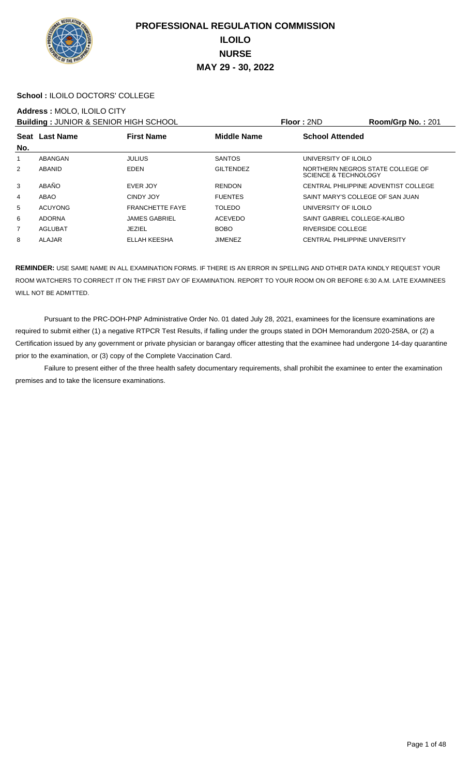

#### **School :** ILOILO DOCTORS' COLLEGE

#### **Address :** MOLO, ILOILO CITY

**Building :** JUNIOR & SENIOR HIGH SCHOOL **Floor :** 2ND **Room/Grp No. :** 201

|                |                |                        |                    | .                                                                   |  |  |
|----------------|----------------|------------------------|--------------------|---------------------------------------------------------------------|--|--|
| No.            | Seat Last Name | <b>First Name</b>      | <b>Middle Name</b> | <b>School Attended</b>                                              |  |  |
| 1              | ABANGAN        | <b>JULIUS</b>          | <b>SANTOS</b>      | UNIVERSITY OF ILOILO                                                |  |  |
| $\overline{2}$ | ABANID         | <b>EDEN</b>            | <b>GILTENDEZ</b>   | NORTHERN NEGROS STATE COLLEGE OF<br><b>SCIENCE &amp; TECHNOLOGY</b> |  |  |
| 3              | ABAÑO          | EVER JOY               | <b>RENDON</b>      | CENTRAL PHILIPPINE ADVENTIST COLLEGE                                |  |  |
| 4              | ABAO           | CINDY JOY              | <b>FUENTES</b>     | SAINT MARY'S COLLEGE OF SAN JUAN                                    |  |  |
| 5              | <b>ACUYONG</b> | <b>FRANCHETTE FAYE</b> | <b>TOLEDO</b>      | UNIVERSITY OF ILOILO                                                |  |  |
| 6              | <b>ADORNA</b>  | <b>JAMES GABRIEL</b>   | ACEVEDO            | SAINT GABRIEL COLLEGE-KALIBO                                        |  |  |
| 7              | AGLUBAT        | <b>JEZIEL</b>          | <b>BOBO</b>        | <b>RIVERSIDE COLLEGE</b>                                            |  |  |
| 8              | ALAJAR         | <b>ELLAH KEESHA</b>    | <b>JIMENEZ</b>     | <b>CENTRAL PHILIPPINE UNIVERSITY</b>                                |  |  |
|                |                |                        |                    |                                                                     |  |  |

**REMINDER:** USE SAME NAME IN ALL EXAMINATION FORMS. IF THERE IS AN ERROR IN SPELLING AND OTHER DATA KINDLY REQUEST YOUR ROOM WATCHERS TO CORRECT IT ON THE FIRST DAY OF EXAMINATION. REPORT TO YOUR ROOM ON OR BEFORE 6:30 A.M. LATE EXAMINEES WILL NOT BE ADMITTED.

 Pursuant to the PRC-DOH-PNP Administrative Order No. 01 dated July 28, 2021, examinees for the licensure examinations are required to submit either (1) a negative RTPCR Test Results, if falling under the groups stated in DOH Memorandum 2020-258A, or (2) a Certification issued by any government or private physician or barangay officer attesting that the examinee had undergone 14-day quarantine prior to the examination, or (3) copy of the Complete Vaccination Card.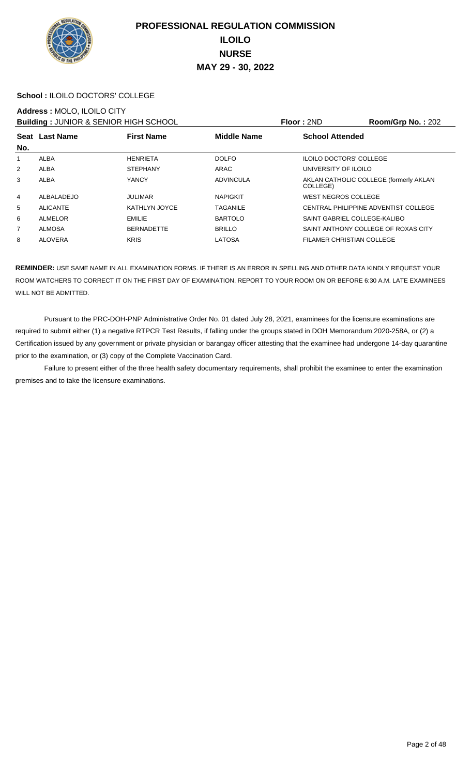

#### **School :** ILOILO DOCTORS' COLLEGE

#### **Address :** MOLO, ILOILO CITY

**Building : JUNIOR & SENIOR HIGH SCHOOL Floor : 2ND Room/Grp No. : 202** 

|                | _ _ _ _ _ _ _ _ _ _ _ _ _ _ _ _ _ |                   |                    |                                                    |  |  |
|----------------|-----------------------------------|-------------------|--------------------|----------------------------------------------------|--|--|
| No.            | <b>Seat Last Name</b>             | <b>First Name</b> | <b>Middle Name</b> | <b>School Attended</b>                             |  |  |
| 1              | ALBA                              | <b>HENRIETA</b>   | <b>DOLFO</b>       | <b>ILOILO DOCTORS' COLLEGE</b>                     |  |  |
| 2              | <b>ALBA</b>                       | <b>STEPHANY</b>   | ARAC               | UNIVERSITY OF ILOILO                               |  |  |
| 3              | <b>ALBA</b>                       | YANCY             | ADVINCULA          | AKLAN CATHOLIC COLLEGE (formerly AKLAN<br>COLLEGE) |  |  |
| 4              | ALBALADEJO                        | <b>JULIMAR</b>    | <b>NAPIGKIT</b>    | WEST NEGROS COLLEGE                                |  |  |
| 5              | <b>ALICANTE</b>                   | KATHLYN JOYCE     | <b>TAGANILE</b>    | CENTRAL PHILIPPINE ADVENTIST COLLEGE               |  |  |
| 6              | <b>ALMELOR</b>                    | <b>EMILIE</b>     | <b>BARTOLO</b>     | SAINT GABRIEL COLLEGE-KALIBO                       |  |  |
| $\overline{7}$ | <b>ALMOSA</b>                     | <b>BERNADETTE</b> | <b>BRILLO</b>      | SAINT ANTHONY COLLEGE OF ROXAS CITY                |  |  |
| 8              | <b>ALOVERA</b>                    | <b>KRIS</b>       | <b>LATOSA</b>      | FILAMER CHRISTIAN COLLEGE                          |  |  |

**REMINDER:** USE SAME NAME IN ALL EXAMINATION FORMS. IF THERE IS AN ERROR IN SPELLING AND OTHER DATA KINDLY REQUEST YOUR ROOM WATCHERS TO CORRECT IT ON THE FIRST DAY OF EXAMINATION. REPORT TO YOUR ROOM ON OR BEFORE 6:30 A.M. LATE EXAMINEES WILL NOT BE ADMITTED.

 Pursuant to the PRC-DOH-PNP Administrative Order No. 01 dated July 28, 2021, examinees for the licensure examinations are required to submit either (1) a negative RTPCR Test Results, if falling under the groups stated in DOH Memorandum 2020-258A, or (2) a Certification issued by any government or private physician or barangay officer attesting that the examinee had undergone 14-day quarantine prior to the examination, or (3) copy of the Complete Vaccination Card.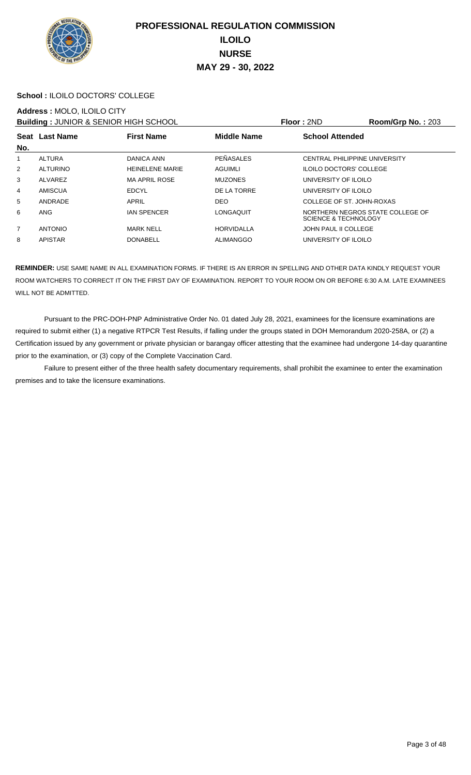

#### **School :** ILOILO DOCTORS' COLLEGE

#### **Address :** MOLO, ILOILO CITY

**Building :** JUNIOR & SENIOR HIGH SCHOOL **Floor :** 2ND **Room/Grp No. :** 203

|                | <b>BUILDING : 00111011 &amp; 0ET11011 111011 001 100E</b> |                        |                    | .<br>11001110111011101112001                                        |  |  |
|----------------|-----------------------------------------------------------|------------------------|--------------------|---------------------------------------------------------------------|--|--|
|                | Seat Last Name                                            | <b>First Name</b>      | <b>Middle Name</b> | <b>School Attended</b>                                              |  |  |
| No.            |                                                           |                        |                    |                                                                     |  |  |
| 1              | ALTURA                                                    | DANICA ANN             | PEÑASALES          | CENTRAL PHILIPPINE UNIVERSITY                                       |  |  |
| 2              | <b>ALTURINO</b>                                           | <b>HEINELENE MARIE</b> | AGUIMLI            | <b>ILOILO DOCTORS' COLLEGE</b>                                      |  |  |
| 3              | ALVAREZ                                                   | <b>MA APRIL ROSE</b>   | <b>MUZONES</b>     | UNIVERSITY OF ILOILO                                                |  |  |
| 4              | <b>AMISCUA</b>                                            | <b>EDCYL</b>           | DE LA TORRE        | UNIVERSITY OF ILOILO                                                |  |  |
| 5              | ANDRADE                                                   | APRIL                  | <b>DEO</b>         | COLLEGE OF ST. JOHN-ROXAS                                           |  |  |
| 6              | <b>ANG</b>                                                | <b>IAN SPENCER</b>     | LONGAQUIT          | NORTHERN NEGROS STATE COLLEGE OF<br><b>SCIENCE &amp; TECHNOLOGY</b> |  |  |
| $\overline{7}$ | <b>ANTONIO</b>                                            | <b>MARK NELL</b>       | <b>HORVIDALLA</b>  | <b>JOHN PAUL II COLLEGE</b>                                         |  |  |
| 8              | <b>APISTAR</b>                                            | <b>DONABELL</b>        | ALIMANGGO          | UNIVERSITY OF ILOILO                                                |  |  |
|                |                                                           |                        |                    |                                                                     |  |  |

**REMINDER:** USE SAME NAME IN ALL EXAMINATION FORMS. IF THERE IS AN ERROR IN SPELLING AND OTHER DATA KINDLY REQUEST YOUR ROOM WATCHERS TO CORRECT IT ON THE FIRST DAY OF EXAMINATION. REPORT TO YOUR ROOM ON OR BEFORE 6:30 A.M. LATE EXAMINEES WILL NOT BE ADMITTED.

 Pursuant to the PRC-DOH-PNP Administrative Order No. 01 dated July 28, 2021, examinees for the licensure examinations are required to submit either (1) a negative RTPCR Test Results, if falling under the groups stated in DOH Memorandum 2020-258A, or (2) a Certification issued by any government or private physician or barangay officer attesting that the examinee had undergone 14-day quarantine prior to the examination, or (3) copy of the Complete Vaccination Card.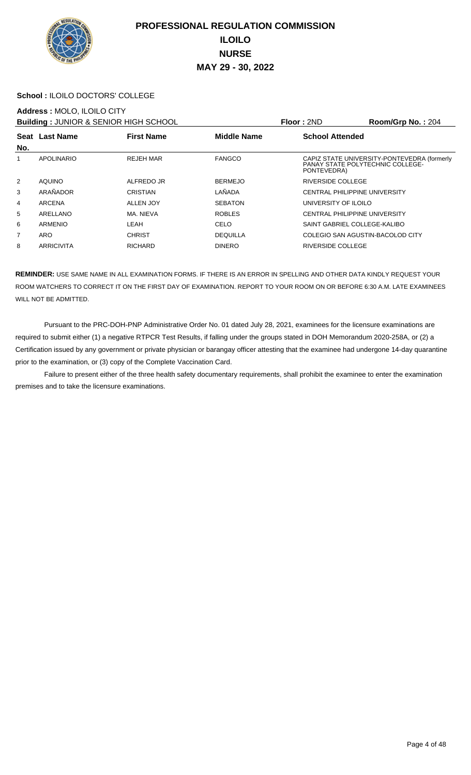

#### **School :** ILOILO DOCTORS' COLLEGE

#### **Address :** MOLO, ILOILO CITY

**Building : JUNIOR & SENIOR HIGH SCHOOL Floor : 2ND Room/Grp No. : 204** 

|     |                   | <b>BUILDING : 00111011 &amp; 0ET11011 111011 001 100E</b> |                    | .                        | …∪∪…∞…∪ ≈                                                                              |
|-----|-------------------|-----------------------------------------------------------|--------------------|--------------------------|----------------------------------------------------------------------------------------|
| No. | Seat Last Name    | <b>First Name</b>                                         | <b>Middle Name</b> | <b>School Attended</b>   |                                                                                        |
|     | <b>APOLINARIO</b> | <b>REJEH MAR</b>                                          | <b>FANGCO</b>      | PONTEVEDRA)              | CAPIZ STATE UNIVERSITY-PONTEVEDRA (formerly<br><b>PANAY STATE POLYTECHNIC COLLEGE-</b> |
| 2   | AQUINO            | ALFREDO JR                                                | <b>BERMEJO</b>     | <b>RIVERSIDE COLLEGE</b> |                                                                                        |
| 3   | ARAÑADOR          | <b>CRISTIAN</b>                                           | LAÑADA             |                          | CENTRAL PHILIPPINE UNIVERSITY                                                          |
| 4   | ARCENA            | ALLEN JOY                                                 | <b>SEBATON</b>     | UNIVERSITY OF ILOILO     |                                                                                        |
| 5   | ARELLANO          | MA, NIEVA                                                 | <b>ROBLES</b>      |                          | <b>CENTRAL PHILIPPINE UNIVERSITY</b>                                                   |
| 6   | ARMENIO           | LEAH                                                      | CELO               |                          | SAINT GABRIEL COLLEGE-KALIBO                                                           |
| 7   | ARO               | <b>CHRIST</b>                                             | <b>DEQUILLA</b>    |                          | COLEGIO SAN AGUSTIN-BACOLOD CITY                                                       |
| 8   | ARRICIVITA        | <b>RICHARD</b>                                            | <b>DINERO</b>      | RIVERSIDE COLLEGE        |                                                                                        |
|     |                   |                                                           |                    |                          |                                                                                        |

**REMINDER:** USE SAME NAME IN ALL EXAMINATION FORMS. IF THERE IS AN ERROR IN SPELLING AND OTHER DATA KINDLY REQUEST YOUR ROOM WATCHERS TO CORRECT IT ON THE FIRST DAY OF EXAMINATION. REPORT TO YOUR ROOM ON OR BEFORE 6:30 A.M. LATE EXAMINEES WILL NOT BE ADMITTED.

 Pursuant to the PRC-DOH-PNP Administrative Order No. 01 dated July 28, 2021, examinees for the licensure examinations are required to submit either (1) a negative RTPCR Test Results, if falling under the groups stated in DOH Memorandum 2020-258A, or (2) a Certification issued by any government or private physician or barangay officer attesting that the examinee had undergone 14-day quarantine prior to the examination, or (3) copy of the Complete Vaccination Card.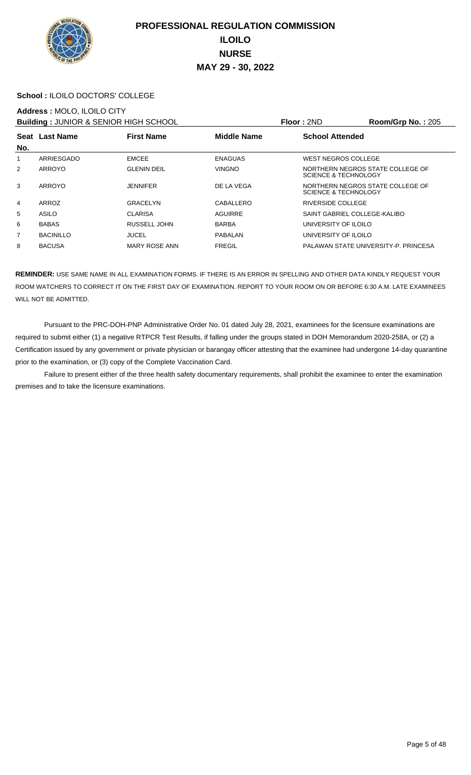

#### **School :** ILOILO DOCTORS' COLLEGE

#### **Address :** MOLO, ILOILO CITY

**Building :** JUNIOR & SENIOR HIGH SCHOOL **Floor :** 2ND **Room/Grp No. :** 205

| No.            | Seat Last Name   | <b>First Name</b>    | <b>Middle Name</b> | <b>School Attended</b>                                   |  |  |
|----------------|------------------|----------------------|--------------------|----------------------------------------------------------|--|--|
|                | ARRIESGADO       | <b>EMCEE</b>         | <b>ENAGUAS</b>     | WEST NEGROS COLLEGE                                      |  |  |
| $\overline{2}$ | ARROYO           | <b>GLENIN DEIL</b>   | <b>VINGNO</b>      | NORTHERN NEGROS STATE COLLEGE OF<br>SCIENCE & TECHNOLOGY |  |  |
| 3              | ARROYO           | <b>JENNIFER</b>      | DE LA VEGA         | NORTHERN NEGROS STATE COLLEGE OF<br>SCIENCE & TECHNOLOGY |  |  |
| 4              | ARROZ            | GRACELYN             | CABALLERO          | RIVERSIDE COLLEGE                                        |  |  |
| 5              | ASILO            | <b>CLARISA</b>       | AGUIRRE            | SAINT GABRIEL COLLEGE-KALIBO                             |  |  |
| 6              | <b>BABAS</b>     | RUSSELL JOHN         | <b>BARBA</b>       | UNIVERSITY OF ILOILO                                     |  |  |
| $\overline{7}$ | <b>BACINILLO</b> | <b>JUCEL</b>         | PABALAN            | UNIVERSITY OF ILOILO                                     |  |  |
| 8              | <b>BACUSA</b>    | <b>MARY ROSE ANN</b> | <b>FREGIL</b>      | PALAWAN STATE UNIVERSITY-P. PRINCESA                     |  |  |

**REMINDER:** USE SAME NAME IN ALL EXAMINATION FORMS. IF THERE IS AN ERROR IN SPELLING AND OTHER DATA KINDLY REQUEST YOUR ROOM WATCHERS TO CORRECT IT ON THE FIRST DAY OF EXAMINATION. REPORT TO YOUR ROOM ON OR BEFORE 6:30 A.M. LATE EXAMINEES WILL NOT BE ADMITTED.

 Pursuant to the PRC-DOH-PNP Administrative Order No. 01 dated July 28, 2021, examinees for the licensure examinations are required to submit either (1) a negative RTPCR Test Results, if falling under the groups stated in DOH Memorandum 2020-258A, or (2) a Certification issued by any government or private physician or barangay officer attesting that the examinee had undergone 14-day quarantine prior to the examination, or (3) copy of the Complete Vaccination Card.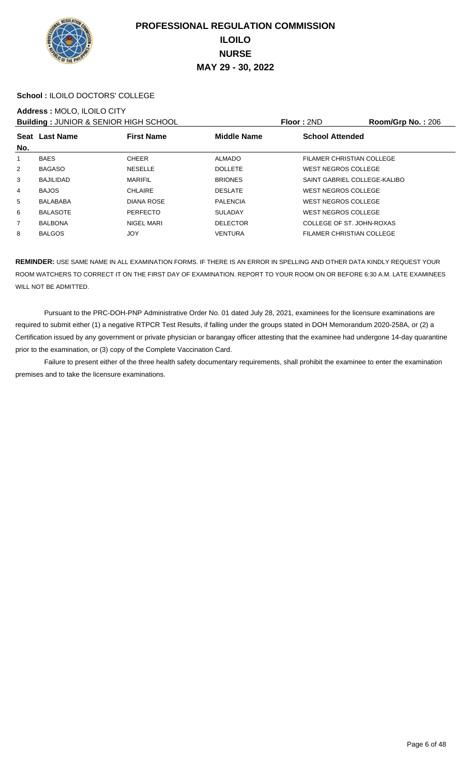

#### **School :** ILOILO DOCTORS' COLLEGE

#### **Address :** MOLO, ILOILO CITY

**Building :** JUNIOR & SENIOR HIGH SCHOOL **Floor :** 2ND **Room/Grp No. :** 206

|                | Seat Last Name   | <b>First Name</b> | <b>Middle Name</b> | <b>School Attended</b>       |  |  |
|----------------|------------------|-------------------|--------------------|------------------------------|--|--|
| No.            |                  |                   |                    |                              |  |  |
| 1              | <b>BAES</b>      | <b>CHEER</b>      | <b>ALMADO</b>      | FILAMER CHRISTIAN COLLEGE    |  |  |
| 2              | <b>BAGASO</b>    | <b>NESELLE</b>    | <b>DOLLETE</b>     | <b>WEST NEGROS COLLEGE</b>   |  |  |
| 3              | <b>BAJILIDAD</b> | <b>MARIFIL</b>    | <b>BRIONES</b>     | SAINT GABRIEL COLLEGE-KALIBO |  |  |
| $\overline{4}$ | <b>BAJOS</b>     | CHLAIRE           | <b>DESLATE</b>     | <b>WEST NEGROS COLLEGE</b>   |  |  |
| 5              | <b>BALABABA</b>  | <b>DIANA ROSE</b> | <b>PALENCIA</b>    | <b>WEST NEGROS COLLEGE</b>   |  |  |
| 6              | <b>BALASOTE</b>  | <b>PERFECTO</b>   | <b>SULADAY</b>     | <b>WEST NEGROS COLLEGE</b>   |  |  |
| $\overline{7}$ | <b>BALBONA</b>   | NIGEL MARI        | <b>DELECTOR</b>    | COLLEGE OF ST. JOHN-ROXAS    |  |  |
| 8              | <b>BALGOS</b>    | JOY               | <b>VENTURA</b>     | FILAMER CHRISTIAN COLLEGE    |  |  |
|                |                  |                   |                    |                              |  |  |

**REMINDER:** USE SAME NAME IN ALL EXAMINATION FORMS. IF THERE IS AN ERROR IN SPELLING AND OTHER DATA KINDLY REQUEST YOUR ROOM WATCHERS TO CORRECT IT ON THE FIRST DAY OF EXAMINATION. REPORT TO YOUR ROOM ON OR BEFORE 6:30 A.M. LATE EXAMINEES WILL NOT BE ADMITTED.

 Pursuant to the PRC-DOH-PNP Administrative Order No. 01 dated July 28, 2021, examinees for the licensure examinations are required to submit either (1) a negative RTPCR Test Results, if falling under the groups stated in DOH Memorandum 2020-258A, or (2) a Certification issued by any government or private physician or barangay officer attesting that the examinee had undergone 14-day quarantine prior to the examination, or (3) copy of the Complete Vaccination Card.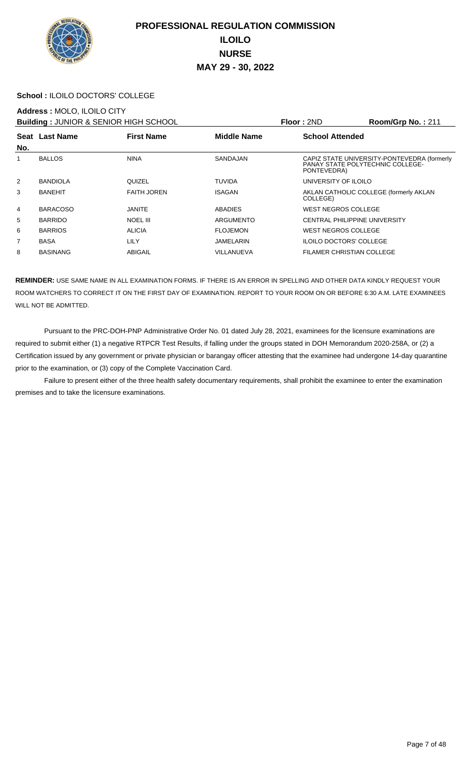

#### **School :** ILOILO DOCTORS' COLLEGE

#### **Address :** MOLO, ILOILO CITY

**Building :** JUNIOR & SENIOR HIGH SCHOOL **Floor :** 2ND **Room/Grp No. :** 211

|     | <b>BUILDING TO INTO A SERIOR THOLL SOLIOUL</b> |                    |                    | 1 IUU . ZI TU<br>$\mathbf{N}$                                                                         |  |  |
|-----|------------------------------------------------|--------------------|--------------------|-------------------------------------------------------------------------------------------------------|--|--|
| No. | Seat Last Name                                 | <b>First Name</b>  | <b>Middle Name</b> | <b>School Attended</b>                                                                                |  |  |
|     | <b>BALLOS</b>                                  | <b>NINA</b>        | SANDAJAN           | CAPIZ STATE UNIVERSITY-PONTEVEDRA (formerly<br><b>PANAY STATE POLYTECHNIC COLLEGE-</b><br>PONTEVEDRA) |  |  |
| 2   | <b>BANDIOLA</b>                                | QUIZEL             | <b>TUVIDA</b>      | UNIVERSITY OF ILOILO                                                                                  |  |  |
| 3   | <b>BANEHIT</b>                                 | <b>FAITH JOREN</b> | <b>ISAGAN</b>      | AKLAN CATHOLIC COLLEGE (formerly AKLAN<br>COLLEGE)                                                    |  |  |
| 4   | <b>BARACOSO</b>                                | <b>JANITE</b>      | <b>ABADIES</b>     | <b>WEST NEGROS COLLEGE</b>                                                                            |  |  |
| 5   | <b>BARRIDO</b>                                 | <b>NOEL III</b>    | ARGUMENTO          | <b>CENTRAL PHILIPPINE UNIVERSITY</b>                                                                  |  |  |
| 6   | <b>BARRIOS</b>                                 | <b>ALICIA</b>      | <b>FLOJEMON</b>    | <b>WEST NEGROS COLLEGE</b>                                                                            |  |  |
| 7   | <b>BASA</b>                                    | LILY               | JAMELARIN          | <b>ILOILO DOCTORS' COLLEGE</b>                                                                        |  |  |
| 8   | <b>BASINANG</b>                                | ABIGAIL            | VILLANUEVA         | <b>FILAMER CHRISTIAN COLLEGE</b>                                                                      |  |  |
|     |                                                |                    |                    |                                                                                                       |  |  |

**REMINDER:** USE SAME NAME IN ALL EXAMINATION FORMS. IF THERE IS AN ERROR IN SPELLING AND OTHER DATA KINDLY REQUEST YOUR ROOM WATCHERS TO CORRECT IT ON THE FIRST DAY OF EXAMINATION. REPORT TO YOUR ROOM ON OR BEFORE 6:30 A.M. LATE EXAMINEES WILL NOT BE ADMITTED.

 Pursuant to the PRC-DOH-PNP Administrative Order No. 01 dated July 28, 2021, examinees for the licensure examinations are required to submit either (1) a negative RTPCR Test Results, if falling under the groups stated in DOH Memorandum 2020-258A, or (2) a Certification issued by any government or private physician or barangay officer attesting that the examinee had undergone 14-day quarantine prior to the examination, or (3) copy of the Complete Vaccination Card.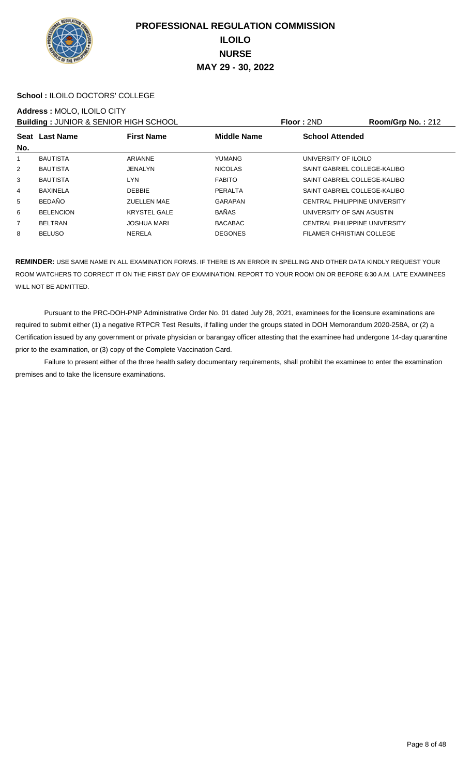

#### **School :** ILOILO DOCTORS' COLLEGE

#### **Address :** MOLO, ILOILO CITY

**Building :** JUNIOR & SENIOR HIGH SCHOOL **Floor :** 2ND **Room/Grp No. :** 212

|                | — winwing tool hold a cardinol hist tool to car |                     |                    |                                      |  |  |
|----------------|-------------------------------------------------|---------------------|--------------------|--------------------------------------|--|--|
| No.            | Seat Last Name                                  | <b>First Name</b>   | <b>Middle Name</b> | <b>School Attended</b>               |  |  |
|                |                                                 |                     |                    |                                      |  |  |
| 1              | <b>BAUTISTA</b>                                 | <b>ARIANNE</b>      | <b>YUMANG</b>      | UNIVERSITY OF ILOILO                 |  |  |
| 2              | <b>BAUTISTA</b>                                 | <b>JENALYN</b>      | <b>NICOLAS</b>     | SAINT GABRIEL COLLEGE-KALIBO         |  |  |
|                | <b>BAUTISTA</b>                                 | LYN                 |                    | SAINT GABRIEL COLLEGE-KALIBO         |  |  |
| 3              |                                                 |                     | <b>FABITO</b>      |                                      |  |  |
| 4              | <b>BAXINELA</b>                                 | <b>DEBBIE</b>       | PERALTA            | SAINT GABRIEL COLLEGE-KALIBO         |  |  |
| 5              | <b>BEDAÑO</b>                                   | <b>ZUELLEN MAE</b>  | <b>GARAPAN</b>     | <b>CENTRAL PHILIPPINE UNIVERSITY</b> |  |  |
| 6              | <b>BELENCION</b>                                | <b>KRYSTEL GALE</b> | <b>BAÑAS</b>       | UNIVERSITY OF SAN AGUSTIN            |  |  |
| $\overline{7}$ | <b>BELTRAN</b>                                  | <b>JOSHUA MARI</b>  | <b>BACABAC</b>     | <b>CENTRAL PHILIPPINE UNIVERSITY</b> |  |  |
| 8              | <b>BELUSO</b>                                   | NERELA              | <b>DEGONES</b>     | FILAMER CHRISTIAN COLLEGE            |  |  |
|                |                                                 |                     |                    |                                      |  |  |

**REMINDER:** USE SAME NAME IN ALL EXAMINATION FORMS. IF THERE IS AN ERROR IN SPELLING AND OTHER DATA KINDLY REQUEST YOUR ROOM WATCHERS TO CORRECT IT ON THE FIRST DAY OF EXAMINATION. REPORT TO YOUR ROOM ON OR BEFORE 6:30 A.M. LATE EXAMINEES WILL NOT BE ADMITTED.

 Pursuant to the PRC-DOH-PNP Administrative Order No. 01 dated July 28, 2021, examinees for the licensure examinations are required to submit either (1) a negative RTPCR Test Results, if falling under the groups stated in DOH Memorandum 2020-258A, or (2) a Certification issued by any government or private physician or barangay officer attesting that the examinee had undergone 14-day quarantine prior to the examination, or (3) copy of the Complete Vaccination Card.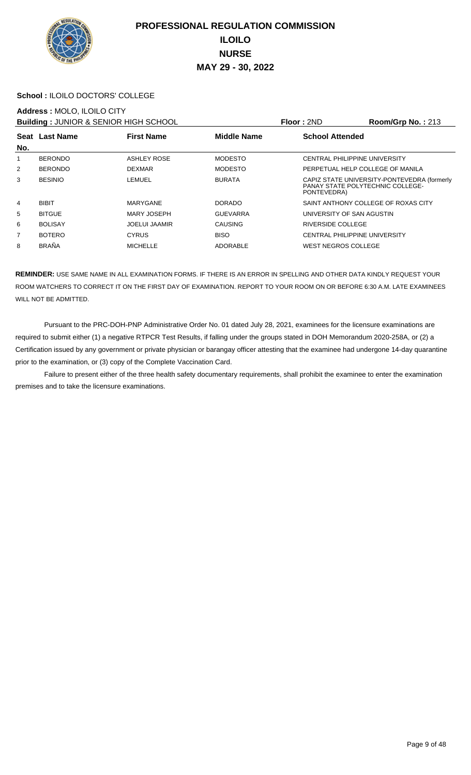

#### **School :** ILOILO DOCTORS' COLLEGE

#### **Address :** MOLO, ILOILO CITY

**Building :** JUNIOR & SENIOR HIGH SCHOOL **Floor :** 2ND **Room/Grp No. :** 213

|                |                | <b>DUINING</b> . JUNION & ULINON HIGH BUILOUR |                    | 1 IVVI . ZI IL<br>1.9911199119139 219 |                                                                                 |  |
|----------------|----------------|-----------------------------------------------|--------------------|---------------------------------------|---------------------------------------------------------------------------------|--|
| No.            | Seat Last Name | <b>First Name</b>                             | <b>Middle Name</b> | <b>School Attended</b>                |                                                                                 |  |
|                |                |                                               |                    |                                       |                                                                                 |  |
| 1              | <b>BERONDO</b> | <b>ASHLEY ROSE</b>                            | <b>MODESTO</b>     |                                       | CENTRAL PHILIPPINE UNIVERSITY                                                   |  |
| $\overline{2}$ | <b>BERONDO</b> | <b>DEXMAR</b>                                 | <b>MODESTO</b>     |                                       | PERPETUAL HELP COLLEGE OF MANILA                                                |  |
| 3              | <b>BESINIO</b> | LEMUEL                                        | <b>BURATA</b>      | PONTEVEDRA)                           | CAPIZ STATE UNIVERSITY-PONTEVEDRA (formerly<br>PANAY STATE POLYTECHNIC COLLEGE- |  |
| 4              | <b>BIBIT</b>   | MARYGANE                                      | <b>DORADO</b>      |                                       | SAINT ANTHONY COLLEGE OF ROXAS CITY                                             |  |
| 5              | <b>BITGUE</b>  | <b>MARY JOSEPH</b>                            | <b>GUEVARRA</b>    |                                       | UNIVERSITY OF SAN AGUSTIN                                                       |  |
| 6              | <b>BOLISAY</b> | <b>JOELUI JAAMIR</b>                          | CAUSING            | RIVERSIDE COLLEGE                     |                                                                                 |  |
| $\overline{7}$ | <b>BOTERO</b>  | <b>CYRUS</b>                                  | <b>BISO</b>        |                                       | CENTRAL PHILIPPINE UNIVERSITY                                                   |  |
| 8              | <b>BRAÑA</b>   | <b>MICHELLE</b>                               | ADORABLE           | WEST NEGROS COLLEGE                   |                                                                                 |  |
|                |                |                                               |                    |                                       |                                                                                 |  |

**REMINDER:** USE SAME NAME IN ALL EXAMINATION FORMS. IF THERE IS AN ERROR IN SPELLING AND OTHER DATA KINDLY REQUEST YOUR ROOM WATCHERS TO CORRECT IT ON THE FIRST DAY OF EXAMINATION. REPORT TO YOUR ROOM ON OR BEFORE 6:30 A.M. LATE EXAMINEES WILL NOT BE ADMITTED.

 Pursuant to the PRC-DOH-PNP Administrative Order No. 01 dated July 28, 2021, examinees for the licensure examinations are required to submit either (1) a negative RTPCR Test Results, if falling under the groups stated in DOH Memorandum 2020-258A, or (2) a Certification issued by any government or private physician or barangay officer attesting that the examinee had undergone 14-day quarantine prior to the examination, or (3) copy of the Complete Vaccination Card.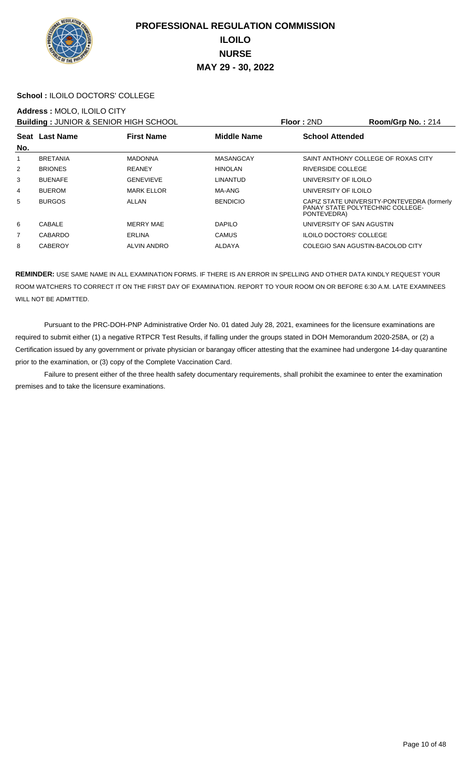

#### **School :** ILOILO DOCTORS' COLLEGE

#### **Address :** MOLO, ILOILO CITY

**Building :** JUNIOR & SENIOR HIGH SCHOOL **Floor :** 2ND **Room/Grp No. :** 214

|                       |                    |                    | .                                                                                              |  |  |
|-----------------------|--------------------|--------------------|------------------------------------------------------------------------------------------------|--|--|
| <b>Seat Last Name</b> | <b>First Name</b>  | <b>Middle Name</b> | <b>School Attended</b>                                                                         |  |  |
| <b>BRETANIA</b>       | <b>MADONNA</b>     | MASANGCAY          | SAINT ANTHONY COLLEGE OF ROXAS CITY                                                            |  |  |
| <b>BRIONES</b>        | <b>REANEY</b>      | <b>HINOLAN</b>     | RIVERSIDE COLLEGE                                                                              |  |  |
| <b>BUENAFE</b>        | <b>GENEVIEVE</b>   | LINANTUD           | UNIVERSITY OF ILOILO                                                                           |  |  |
| <b>BUEROM</b>         | <b>MARK ELLOR</b>  | MA-ANG             | UNIVERSITY OF ILOILO                                                                           |  |  |
| <b>BURGOS</b>         | ALLAN              | <b>BENDICIO</b>    | CAPIZ STATE UNIVERSITY-PONTEVEDRA (formerly<br>PANAY STATE POLYTECHNIC COLLEGE-<br>PONTEVEDRA) |  |  |
| <b>CABALE</b>         | <b>MERRY MAE</b>   | <b>DAPILO</b>      | UNIVERSITY OF SAN AGUSTIN                                                                      |  |  |
| CABARDO               | <b>ERLINA</b>      | <b>CAMUS</b>       | <b>ILOILO DOCTORS' COLLEGE</b>                                                                 |  |  |
| <b>CABEROY</b>        | <b>ALVIN ANDRO</b> | ALDAYA             | COLEGIO SAN AGUSTIN-BACOLOD CITY                                                               |  |  |
|                       |                    |                    |                                                                                                |  |  |

**REMINDER:** USE SAME NAME IN ALL EXAMINATION FORMS. IF THERE IS AN ERROR IN SPELLING AND OTHER DATA KINDLY REQUEST YOUR ROOM WATCHERS TO CORRECT IT ON THE FIRST DAY OF EXAMINATION. REPORT TO YOUR ROOM ON OR BEFORE 6:30 A.M. LATE EXAMINEES WILL NOT BE ADMITTED.

 Pursuant to the PRC-DOH-PNP Administrative Order No. 01 dated July 28, 2021, examinees for the licensure examinations are required to submit either (1) a negative RTPCR Test Results, if falling under the groups stated in DOH Memorandum 2020-258A, or (2) a Certification issued by any government or private physician or barangay officer attesting that the examinee had undergone 14-day quarantine prior to the examination, or (3) copy of the Complete Vaccination Card.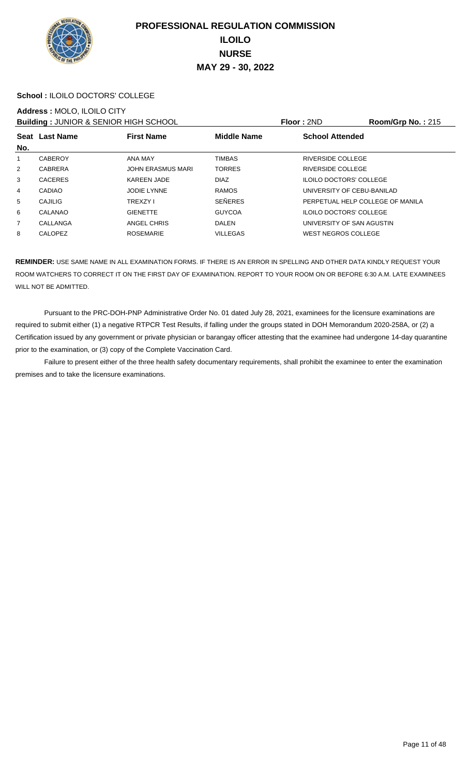

#### **School :** ILOILO DOCTORS' COLLEGE

#### **Address :** MOLO, ILOILO CITY

**Building :** JUNIOR & SENIOR HIGH SCHOOL **Floor :** 2ND **Room/Grp No. :** 215

| No.            | Seat Last Name | <b>First Name</b>        | <b>Middle Name</b> | <b>School Attended</b>           |  |  |
|----------------|----------------|--------------------------|--------------------|----------------------------------|--|--|
| 1              | <b>CABEROY</b> | ANA MAY                  | <b>TIMBAS</b>      | RIVERSIDE COLLEGE                |  |  |
| 2              | <b>CABRERA</b> | <b>JOHN ERASMUS MARI</b> | <b>TORRES</b>      | RIVERSIDE COLLEGE                |  |  |
| 3              | <b>CACERES</b> | <b>KAREEN JADE</b>       | <b>DIAZ</b>        | <b>ILOILO DOCTORS' COLLEGE</b>   |  |  |
| 4              | <b>CADIAO</b>  | JODIE LYNNE              | <b>RAMOS</b>       | UNIVERSITY OF CEBU-BANILAD       |  |  |
| 5              | <b>CAJILIG</b> | <b>TREXZY I</b>          | <b>SEÑERES</b>     | PERPETUAL HELP COLLEGE OF MANILA |  |  |
| 6              | CALANAO        | <b>GIENETTE</b>          | <b>GUYCOA</b>      | <b>ILOILO DOCTORS' COLLEGE</b>   |  |  |
| $\overline{7}$ | CALLANGA       | ANGEL CHRIS              | <b>DALEN</b>       | UNIVERSITY OF SAN AGUSTIN        |  |  |
| 8              | CALOPEZ        | <b>ROSEMARIE</b>         | <b>VILLEGAS</b>    | WEST NEGROS COLLEGE              |  |  |
|                |                |                          |                    |                                  |  |  |

**REMINDER:** USE SAME NAME IN ALL EXAMINATION FORMS. IF THERE IS AN ERROR IN SPELLING AND OTHER DATA KINDLY REQUEST YOUR ROOM WATCHERS TO CORRECT IT ON THE FIRST DAY OF EXAMINATION. REPORT TO YOUR ROOM ON OR BEFORE 6:30 A.M. LATE EXAMINEES WILL NOT BE ADMITTED.

 Pursuant to the PRC-DOH-PNP Administrative Order No. 01 dated July 28, 2021, examinees for the licensure examinations are required to submit either (1) a negative RTPCR Test Results, if falling under the groups stated in DOH Memorandum 2020-258A, or (2) a Certification issued by any government or private physician or barangay officer attesting that the examinee had undergone 14-day quarantine prior to the examination, or (3) copy of the Complete Vaccination Card.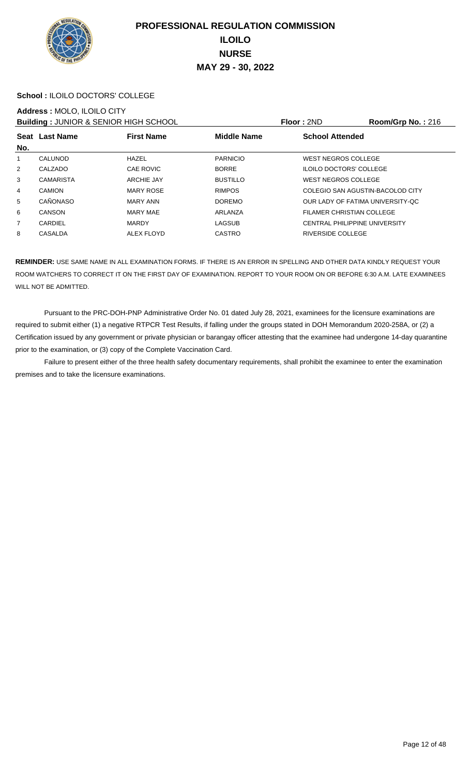

#### **School :** ILOILO DOCTORS' COLLEGE

#### **Address :** MOLO, ILOILO CITY

**Building : JUNIOR & SENIOR HIGH SCHOOL Floor : 2ND Room/Grp No. : 216** 

|     |                  |                   |                    | .                                |                                      |  |
|-----|------------------|-------------------|--------------------|----------------------------------|--------------------------------------|--|
|     | Seat Last Name   | <b>First Name</b> | <b>Middle Name</b> | <b>School Attended</b>           |                                      |  |
| No. |                  |                   |                    |                                  |                                      |  |
|     | CALUNOD          | <b>HAZEL</b>      | <b>PARNICIO</b>    | <b>WEST NEGROS COLLEGE</b>       |                                      |  |
| 2   | CALZADO          | <b>CAE ROVIC</b>  | <b>BORRE</b>       | <b>ILOILO DOCTORS' COLLEGE</b>   |                                      |  |
| 3   | <b>CAMARISTA</b> | <b>ARCHIE JAY</b> | <b>BUSTILLO</b>    | <b>WEST NEGROS COLLEGE</b>       |                                      |  |
| 4   | <b>CAMION</b>    | <b>MARY ROSE</b>  | <b>RIMPOS</b>      |                                  | COLEGIO SAN AGUSTIN-BACOLOD CITY     |  |
| 5   | CAÑONASO         | MARY ANN          | <b>DOREMO</b>      |                                  | OUR LADY OF FATIMA UNIVERSITY-QC     |  |
| 6   | <b>CANSON</b>    | MARY MAE          | ARLANZA            | <b>FILAMER CHRISTIAN COLLEGE</b> |                                      |  |
| 7   | CARDIEL          | <b>MARDY</b>      | LAGSUB             |                                  | <b>CENTRAL PHILIPPINE UNIVERSITY</b> |  |
| 8   | <b>CASALDA</b>   | <b>ALEX FLOYD</b> | <b>CASTRO</b>      | <b>RIVERSIDE COLLEGE</b>         |                                      |  |
|     |                  |                   |                    |                                  |                                      |  |

**REMINDER:** USE SAME NAME IN ALL EXAMINATION FORMS. IF THERE IS AN ERROR IN SPELLING AND OTHER DATA KINDLY REQUEST YOUR ROOM WATCHERS TO CORRECT IT ON THE FIRST DAY OF EXAMINATION. REPORT TO YOUR ROOM ON OR BEFORE 6:30 A.M. LATE EXAMINEES WILL NOT BE ADMITTED.

 Pursuant to the PRC-DOH-PNP Administrative Order No. 01 dated July 28, 2021, examinees for the licensure examinations are required to submit either (1) a negative RTPCR Test Results, if falling under the groups stated in DOH Memorandum 2020-258A, or (2) a Certification issued by any government or private physician or barangay officer attesting that the examinee had undergone 14-day quarantine prior to the examination, or (3) copy of the Complete Vaccination Card.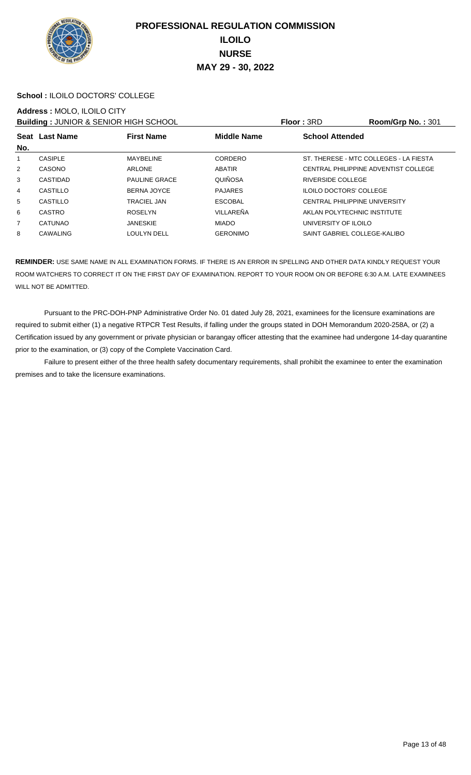

#### **School :** ILOILO DOCTORS' COLLEGE

#### **Address :** MOLO, ILOILO CITY

**Building : JUNIOR & SENIOR HIGH SCHOOL Floor : 3RD Room/Grp No. : 301** 

| <b>BUILDING : 00111011 &amp; 0ET11011 HOLL 001100E</b> |                 |                      |                    |                                | 110011110110111011                     |
|--------------------------------------------------------|-----------------|----------------------|--------------------|--------------------------------|----------------------------------------|
|                                                        | Seat Last Name  | <b>First Name</b>    | <b>Middle Name</b> | <b>School Attended</b>         |                                        |
| No.                                                    |                 |                      |                    |                                |                                        |
| 1                                                      | <b>CASIPLE</b>  | <b>MAYBELINE</b>     | CORDERO            |                                | ST. THERESE - MTC COLLEGES - LA FIESTA |
| 2                                                      | CASONO          | <b>ARLONE</b>        | ABATIR             |                                | CENTRAL PHILIPPINE ADVENTIST COLLEGE   |
| 3                                                      | <b>CASTIDAD</b> | <b>PAULINE GRACE</b> | QUIÑOSA            | <b>RIVERSIDE COLLEGE</b>       |                                        |
| 4                                                      | CASTILLO        | <b>BERNA JOYCE</b>   | <b>PAJARES</b>     | <b>ILOILO DOCTORS' COLLEGE</b> |                                        |
| 5                                                      | CASTILLO        | <b>TRACIEL JAN</b>   | <b>ESCOBAL</b>     |                                | <b>CENTRAL PHILIPPINE UNIVERSITY</b>   |
| 6                                                      | <b>CASTRO</b>   | <b>ROSELYN</b>       | VILLAREÑA          |                                | AKLAN POLYTECHNIC INSTITUTE            |
| $\overline{7}$                                         | <b>CATUNAO</b>  | <b>JANESKIE</b>      | <b>MIADO</b>       | UNIVERSITY OF ILOILO           |                                        |
| 8                                                      | CAWALING        | <b>LOULYN DELL</b>   | <b>GERONIMO</b>    |                                | SAINT GABRIEL COLLEGE-KALIBO           |
|                                                        |                 |                      |                    |                                |                                        |

**REMINDER:** USE SAME NAME IN ALL EXAMINATION FORMS. IF THERE IS AN ERROR IN SPELLING AND OTHER DATA KINDLY REQUEST YOUR ROOM WATCHERS TO CORRECT IT ON THE FIRST DAY OF EXAMINATION. REPORT TO YOUR ROOM ON OR BEFORE 6:30 A.M. LATE EXAMINEES WILL NOT BE ADMITTED.

 Pursuant to the PRC-DOH-PNP Administrative Order No. 01 dated July 28, 2021, examinees for the licensure examinations are required to submit either (1) a negative RTPCR Test Results, if falling under the groups stated in DOH Memorandum 2020-258A, or (2) a Certification issued by any government or private physician or barangay officer attesting that the examinee had undergone 14-day quarantine prior to the examination, or (3) copy of the Complete Vaccination Card.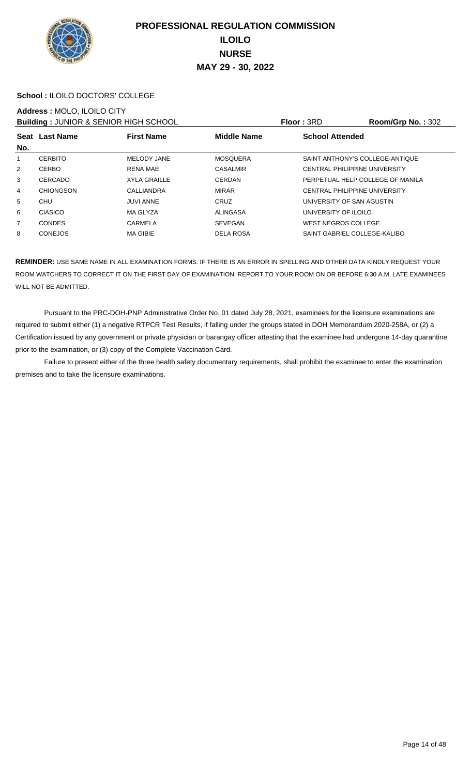

#### **School :** ILOILO DOCTORS' COLLEGE

#### **Address :** MOLO, ILOILO CITY

**Building :** JUNIOR & SENIOR HIGH SCHOOL **Floor :** 3RD **Room/Grp No. :** 302

| <b>DUINING</b> . JUNION & ULINON HIGH BUILOUR |                  |                     | . <b>.</b>         |                            |                                      |
|-----------------------------------------------|------------------|---------------------|--------------------|----------------------------|--------------------------------------|
|                                               | Seat Last Name   | <b>First Name</b>   | <b>Middle Name</b> | <b>School Attended</b>     |                                      |
| No.                                           |                  |                     |                    |                            |                                      |
| 1                                             | <b>CERBITO</b>   | MELODY JANE         | <b>MOSQUERA</b>    |                            | SAINT ANTHONY'S COLLEGE-ANTIQUE      |
| 2                                             | <b>CERBO</b>     | <b>RENA MAE</b>     | <b>CASALMIR</b>    |                            | <b>CENTRAL PHILIPPINE UNIVERSITY</b> |
| 3                                             | CERCADO          | <b>XYLA GRAILLE</b> | <b>CERDAN</b>      |                            | PERPETUAL HELP COLLEGE OF MANILA     |
| 4                                             | <b>CHIONGSON</b> | CALLIANDRA          | MIRAR              |                            | <b>CENTRAL PHILIPPINE UNIVERSITY</b> |
| 5                                             | <b>CHU</b>       | <b>JUVI ANNE</b>    | <b>CRUZ</b>        |                            | UNIVERSITY OF SAN AGUSTIN            |
| 6                                             | <b>CIASICO</b>   | MA GLYZA            | <b>ALINGASA</b>    | UNIVERSITY OF ILOILO       |                                      |
| $\overline{7}$                                | <b>CONDES</b>    | CARMELA             | <b>SEVEGAN</b>     | <b>WEST NEGROS COLLEGE</b> |                                      |
| 8                                             | <b>CONEJOS</b>   | <b>MA GIBIE</b>     | <b>DELA ROSA</b>   |                            | SAINT GABRIEL COLLEGE-KALIBO         |
|                                               |                  |                     |                    |                            |                                      |

**REMINDER:** USE SAME NAME IN ALL EXAMINATION FORMS. IF THERE IS AN ERROR IN SPELLING AND OTHER DATA KINDLY REQUEST YOUR ROOM WATCHERS TO CORRECT IT ON THE FIRST DAY OF EXAMINATION. REPORT TO YOUR ROOM ON OR BEFORE 6:30 A.M. LATE EXAMINEES WILL NOT BE ADMITTED.

 Pursuant to the PRC-DOH-PNP Administrative Order No. 01 dated July 28, 2021, examinees for the licensure examinations are required to submit either (1) a negative RTPCR Test Results, if falling under the groups stated in DOH Memorandum 2020-258A, or (2) a Certification issued by any government or private physician or barangay officer attesting that the examinee had undergone 14-day quarantine prior to the examination, or (3) copy of the Complete Vaccination Card.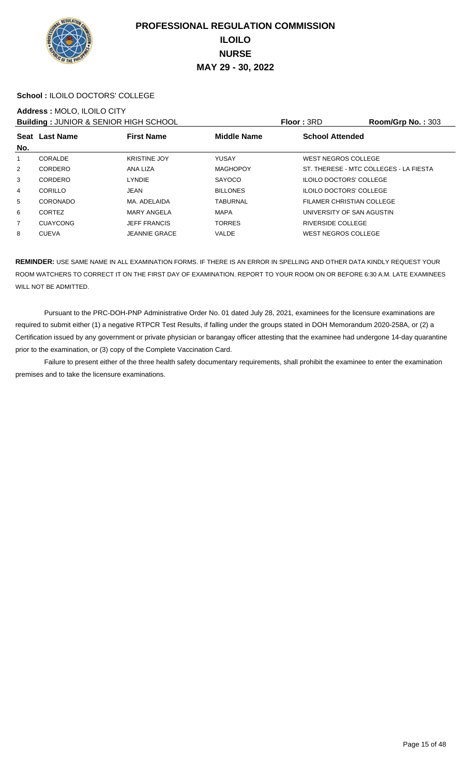

#### **School :** ILOILO DOCTORS' COLLEGE

#### **Address :** MOLO, ILOILO CITY

**Building :** JUNIOR & SENIOR HIGH SCHOOL **Floor :** 3RD **Room/Grp No. :** 303

| — winwing + 00 hours & 0 = hours hours out o 0 = |                 |                      |                    | .                                      |  |  |
|--------------------------------------------------|-----------------|----------------------|--------------------|----------------------------------------|--|--|
| No.                                              | Seat Last Name  | <b>First Name</b>    | <b>Middle Name</b> | <b>School Attended</b>                 |  |  |
| 1                                                | CORALDE         | <b>KRISTINE JOY</b>  | YUSAY              | <b>WEST NEGROS COLLEGE</b>             |  |  |
| 2                                                | CORDERO         | ANA LIZA             | <b>MAGHOPOY</b>    | ST. THERESE - MTC COLLEGES - LA FIESTA |  |  |
| 3                                                | CORDERO         | <b>LYNDIE</b>        | SAYOCO             | <b>ILOILO DOCTORS' COLLEGE</b>         |  |  |
| 4                                                | CORILLO         | JEAN                 | <b>BILLONES</b>    | <b>ILOILO DOCTORS' COLLEGE</b>         |  |  |
| 5                                                | CORONADO        | MA. ADELAIDA         | TABURNAL           | FILAMER CHRISTIAN COLLEGE              |  |  |
| 6                                                | <b>CORTEZ</b>   | <b>MARY ANGELA</b>   | <b>MAPA</b>        | UNIVERSITY OF SAN AGUSTIN              |  |  |
| $\overline{7}$                                   | <b>CUAYCONG</b> | <b>JEFF FRANCIS</b>  | <b>TORRES</b>      | <b>RIVERSIDE COLLEGE</b>               |  |  |
| 8                                                | <b>CUEVA</b>    | <b>JEANNIE GRACE</b> | <b>VALDE</b>       | WEST NEGROS COLLEGE                    |  |  |
|                                                  |                 |                      |                    |                                        |  |  |

**REMINDER:** USE SAME NAME IN ALL EXAMINATION FORMS. IF THERE IS AN ERROR IN SPELLING AND OTHER DATA KINDLY REQUEST YOUR ROOM WATCHERS TO CORRECT IT ON THE FIRST DAY OF EXAMINATION. REPORT TO YOUR ROOM ON OR BEFORE 6:30 A.M. LATE EXAMINEES WILL NOT BE ADMITTED.

 Pursuant to the PRC-DOH-PNP Administrative Order No. 01 dated July 28, 2021, examinees for the licensure examinations are required to submit either (1) a negative RTPCR Test Results, if falling under the groups stated in DOH Memorandum 2020-258A, or (2) a Certification issued by any government or private physician or barangay officer attesting that the examinee had undergone 14-day quarantine prior to the examination, or (3) copy of the Complete Vaccination Card.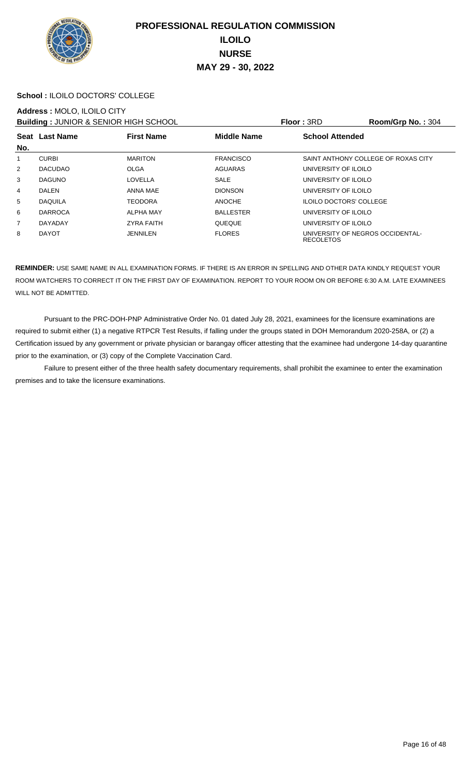

#### **School :** ILOILO DOCTORS' COLLEGE

#### **Address :** MOLO, ILOILO CITY

**Building : JUNIOR & SENIOR HIGH SCHOOL Floor : 3RD Room/Grp No. : 304** 

| <b>BUILDING : 00111011 &amp; 0ET11011 HOLL 001100E</b> |                                                           |                   |                  | .                              | 11001110111011001                   |
|--------------------------------------------------------|-----------------------------------------------------------|-------------------|------------------|--------------------------------|-------------------------------------|
|                                                        | <b>Middle Name</b><br><b>First Name</b><br>Seat Last Name |                   |                  | <b>School Attended</b>         |                                     |
| No.                                                    |                                                           |                   |                  |                                |                                     |
| 1                                                      | <b>CURBI</b>                                              | <b>MARITON</b>    | <b>FRANCISCO</b> |                                | SAINT ANTHONY COLLEGE OF ROXAS CITY |
| 2                                                      | <b>DACUDAO</b>                                            | <b>OLGA</b>       | <b>AGUARAS</b>   | UNIVERSITY OF ILOILO           |                                     |
| 3                                                      | <b>DAGUNO</b>                                             | LOVELLA           | <b>SALE</b>      | UNIVERSITY OF ILOILO           |                                     |
| 4                                                      | <b>DALEN</b>                                              | ANNA MAE          | <b>DIONSON</b>   | UNIVERSITY OF ILOILO           |                                     |
| 5                                                      | <b>DAQUILA</b>                                            | <b>TEODORA</b>    | <b>ANOCHE</b>    | <b>ILOILO DOCTORS' COLLEGE</b> |                                     |
| 6                                                      | <b>DARROCA</b>                                            | <b>ALPHA MAY</b>  | <b>BALLESTER</b> | UNIVERSITY OF ILOILO           |                                     |
| $\overline{7}$                                         | DAYADAY                                                   | <b>ZYRA FAITH</b> | QUEQUE           | UNIVERSITY OF ILOILO           |                                     |
| 8                                                      | <b>DAYOT</b>                                              | <b>JENNILEN</b>   | <b>FLORES</b>    | <b>RECOLETOS</b>               | UNIVERSITY OF NEGROS OCCIDENTAL-    |

**REMINDER:** USE SAME NAME IN ALL EXAMINATION FORMS. IF THERE IS AN ERROR IN SPELLING AND OTHER DATA KINDLY REQUEST YOUR ROOM WATCHERS TO CORRECT IT ON THE FIRST DAY OF EXAMINATION. REPORT TO YOUR ROOM ON OR BEFORE 6:30 A.M. LATE EXAMINEES WILL NOT BE ADMITTED.

 Pursuant to the PRC-DOH-PNP Administrative Order No. 01 dated July 28, 2021, examinees for the licensure examinations are required to submit either (1) a negative RTPCR Test Results, if falling under the groups stated in DOH Memorandum 2020-258A, or (2) a Certification issued by any government or private physician or barangay officer attesting that the examinee had undergone 14-day quarantine prior to the examination, or (3) copy of the Complete Vaccination Card.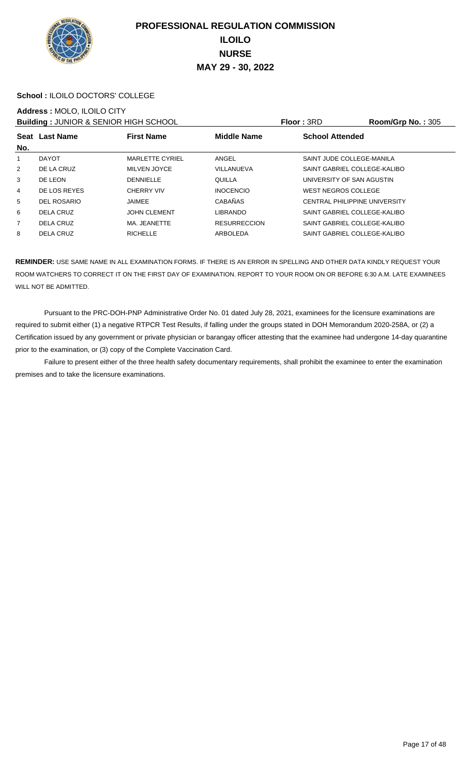

#### **School :** ILOILO DOCTORS' COLLEGE

#### **Address :** MOLO, ILOILO CITY

**Building : JUNIOR & SENIOR HIGH SCHOOL Floor : 3RD Room/Grp No. : 305** 

| No.            | Seat Last Name     | <b>First Name</b>      | <b>Middle Name</b>  | <b>School Attended</b>               |
|----------------|--------------------|------------------------|---------------------|--------------------------------------|
| 1              | <b>DAYOT</b>       | <b>MARLETTE CYRIEL</b> | ANGEL               | SAINT JUDE COLLEGE-MANILA            |
| 2              | DE LA CRUZ         | MILVEN JOYCE           | VILLANUEVA          | SAINT GABRIEL COLLEGE-KALIBO         |
| 3              | DE LEON            | <b>DENNIELLE</b>       | QUILLA              | UNIVERSITY OF SAN AGUSTIN            |
| 4              | DE LOS REYES       | <b>CHERRY VIV</b>      | <b>INOCENCIO</b>    | <b>WEST NEGROS COLLEGE</b>           |
| 5              | <b>DEL ROSARIO</b> | <b>JAIMEE</b>          | <b>CABAÑAS</b>      | <b>CENTRAL PHILIPPINE UNIVERSITY</b> |
| 6              | DELA CRUZ          | <b>JOHN CLEMENT</b>    | <b>LIBRANDO</b>     | SAINT GABRIEL COLLEGE-KALIBO         |
| $\overline{7}$ | DELA CRUZ          | MA. JEANETTE           | <b>RESURRECCION</b> | SAINT GABRIEL COLLEGE-KALIBO         |
| 8              | <b>DELA CRUZ</b>   | <b>RICHELLE</b>        | ARBOLEDA            | SAINT GABRIEL COLLEGE-KALIBO         |
|                |                    |                        |                     |                                      |

**REMINDER:** USE SAME NAME IN ALL EXAMINATION FORMS. IF THERE IS AN ERROR IN SPELLING AND OTHER DATA KINDLY REQUEST YOUR ROOM WATCHERS TO CORRECT IT ON THE FIRST DAY OF EXAMINATION. REPORT TO YOUR ROOM ON OR BEFORE 6:30 A.M. LATE EXAMINEES WILL NOT BE ADMITTED.

 Pursuant to the PRC-DOH-PNP Administrative Order No. 01 dated July 28, 2021, examinees for the licensure examinations are required to submit either (1) a negative RTPCR Test Results, if falling under the groups stated in DOH Memorandum 2020-258A, or (2) a Certification issued by any government or private physician or barangay officer attesting that the examinee had undergone 14-day quarantine prior to the examination, or (3) copy of the Complete Vaccination Card.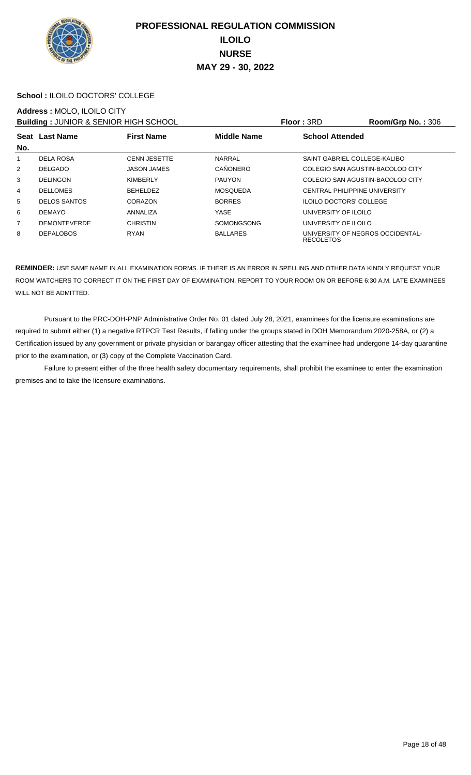

#### **School :** ILOILO DOCTORS' COLLEGE

#### **Address :** MOLO, ILOILO CITY

**Building : JUNIOR & SENIOR HIGH SCHOOL Floor : 3RD Room/Grp No. : 306** 

| <b>Panality : 00111011 &amp; 0EH1011 HOLL 001100E</b> |                                                           |                     |                 | .                      | 1100111010101101.000             |  |
|-------------------------------------------------------|-----------------------------------------------------------|---------------------|-----------------|------------------------|----------------------------------|--|
|                                                       | <b>Middle Name</b><br><b>First Name</b><br>Seat Last Name |                     |                 | <b>School Attended</b> |                                  |  |
| No.                                                   |                                                           |                     |                 |                        |                                  |  |
| 1                                                     | DELA ROSA                                                 | <b>CENN JESETTE</b> | <b>NARRAL</b>   |                        | SAINT GABRIEL COLLEGE-KALIBO     |  |
| 2                                                     | <b>DELGADO</b>                                            | <b>JASON JAMES</b>  | CAÑONERO        |                        | COLEGIO SAN AGUSTIN-BACOLOD CITY |  |
| 3                                                     | <b>DELINGON</b>                                           | <b>KIMBERLY</b>     | <b>PAUYON</b>   |                        | COLEGIO SAN AGUSTIN-BACOLOD CITY |  |
| 4                                                     | <b>DELLOMES</b>                                           | <b>BEHELDEZ</b>     | <b>MOSQUEDA</b> |                        | CENTRAL PHILIPPINE UNIVERSITY    |  |
| 5                                                     | <b>DELOS SANTOS</b>                                       | CORAZON             | <b>BORRES</b>   |                        | <b>ILOILO DOCTORS' COLLEGE</b>   |  |
| 6                                                     | <b>DEMAYO</b>                                             | ANNALIZA            | <b>YASE</b>     | UNIVERSITY OF ILOILO   |                                  |  |
| 7                                                     | <b>DEMONTEVERDE</b>                                       | <b>CHRISTIN</b>     | SOMONGSONG      | UNIVERSITY OF ILOILO   |                                  |  |
| 8                                                     | <b>DEPALOBOS</b>                                          | <b>RYAN</b>         | <b>BALLARES</b> | <b>RECOLETOS</b>       | UNIVERSITY OF NEGROS OCCIDENTAL- |  |

**REMINDER:** USE SAME NAME IN ALL EXAMINATION FORMS. IF THERE IS AN ERROR IN SPELLING AND OTHER DATA KINDLY REQUEST YOUR ROOM WATCHERS TO CORRECT IT ON THE FIRST DAY OF EXAMINATION. REPORT TO YOUR ROOM ON OR BEFORE 6:30 A.M. LATE EXAMINEES WILL NOT BE ADMITTED.

 Pursuant to the PRC-DOH-PNP Administrative Order No. 01 dated July 28, 2021, examinees for the licensure examinations are required to submit either (1) a negative RTPCR Test Results, if falling under the groups stated in DOH Memorandum 2020-258A, or (2) a Certification issued by any government or private physician or barangay officer attesting that the examinee had undergone 14-day quarantine prior to the examination, or (3) copy of the Complete Vaccination Card.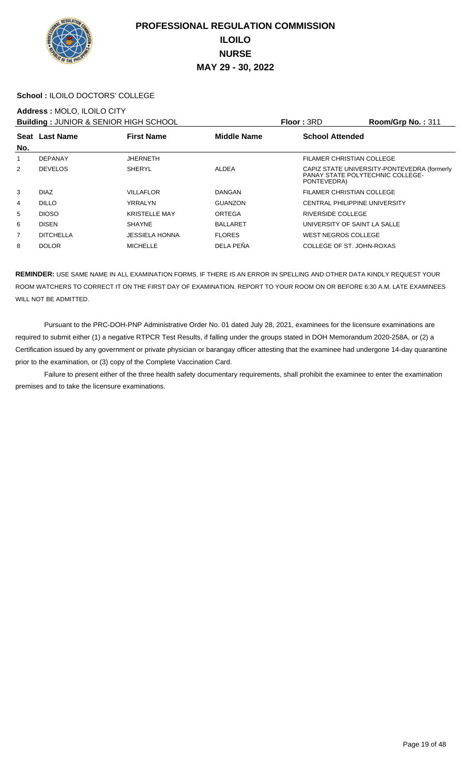

#### **School :** ILOILO DOCTORS' COLLEGE

#### **Address :** MOLO, ILOILO CITY

**Building :** JUNIOR & SENIOR HIGH SCHOOL **Floor :** 3RD **Room/Grp No. :** 311

| <b>BUILDING TO INTO A SERIOR THOLL SOLIOUL</b> |                  |                       |                    | 1 IUU 1 JI 1 U                                                                                 |
|------------------------------------------------|------------------|-----------------------|--------------------|------------------------------------------------------------------------------------------------|
| No.                                            | Seat Last Name   | <b>First Name</b>     | <b>Middle Name</b> | <b>School Attended</b>                                                                         |
| 1                                              | DEPANAY          | <b>JHERNETH</b>       |                    | FILAMER CHRISTIAN COLLEGE                                                                      |
| 2                                              | <b>DEVELOS</b>   | <b>SHERYL</b>         | ALDEA              | CAPIZ STATE UNIVERSITY-PONTEVEDRA (formerly<br>PANAY STATE POLYTECHNIC COLLEGE-<br>PONTEVEDRA) |
| 3                                              | <b>DIAZ</b>      | <b>VILLAFLOR</b>      | DANGAN             | FILAMER CHRISTIAN COLLEGE                                                                      |
| 4                                              | <b>DILLO</b>     | YRRALYN               | <b>GUANZON</b>     | CENTRAL PHILIPPINE UNIVERSITY                                                                  |
| 5                                              | <b>DIOSO</b>     | <b>KRISTELLE MAY</b>  | ORTEGA             | RIVERSIDE COLLEGE                                                                              |
| 6                                              | <b>DISEN</b>     | <b>SHAYNE</b>         | <b>BALLARET</b>    | UNIVERSITY OF SAINT LA SALLE                                                                   |
| $\overline{7}$                                 | <b>DITCHELLA</b> | <b>JESSIELA HONNA</b> | <b>FLORES</b>      | WEST NEGROS COLLEGE                                                                            |
| 8                                              | <b>DOLOR</b>     | <b>MICHELLE</b>       | DELA PEÑA          | COLLEGE OF ST. JOHN-ROXAS                                                                      |
|                                                |                  |                       |                    |                                                                                                |

**REMINDER:** USE SAME NAME IN ALL EXAMINATION FORMS. IF THERE IS AN ERROR IN SPELLING AND OTHER DATA KINDLY REQUEST YOUR ROOM WATCHERS TO CORRECT IT ON THE FIRST DAY OF EXAMINATION. REPORT TO YOUR ROOM ON OR BEFORE 6:30 A.M. LATE EXAMINEES WILL NOT BE ADMITTED.

 Pursuant to the PRC-DOH-PNP Administrative Order No. 01 dated July 28, 2021, examinees for the licensure examinations are required to submit either (1) a negative RTPCR Test Results, if falling under the groups stated in DOH Memorandum 2020-258A, or (2) a Certification issued by any government or private physician or barangay officer attesting that the examinee had undergone 14-day quarantine prior to the examination, or (3) copy of the Complete Vaccination Card.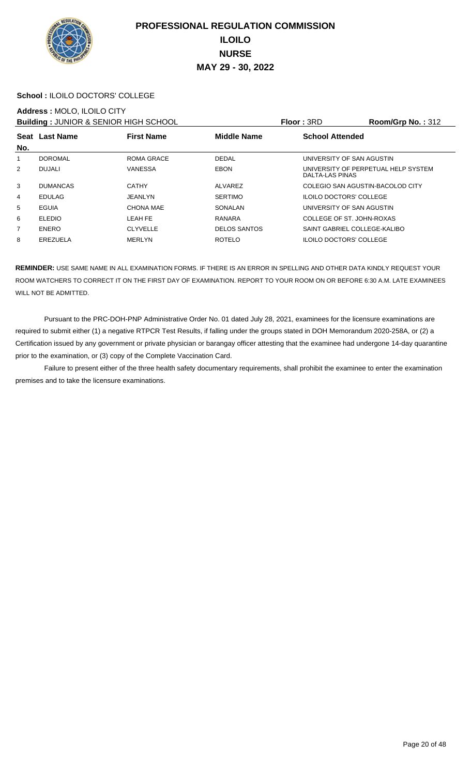

#### **School :** ILOILO DOCTORS' COLLEGE

#### **Address :** MOLO, ILOILO CITY

**Building :** JUNIOR & SENIOR HIGH SCHOOL **Floor :** 3RD **Room/Grp No. :** 312

| <b>DUINING</b> . JUNION & ULINON HIUI I UUI IUUL |                                                           |                   | 11001.01V              | 110011101111011101212          |                                     |
|--------------------------------------------------|-----------------------------------------------------------|-------------------|------------------------|--------------------------------|-------------------------------------|
|                                                  | <b>Middle Name</b><br>Seat Last Name<br><b>First Name</b> |                   | <b>School Attended</b> |                                |                                     |
| No.                                              |                                                           |                   |                        |                                |                                     |
| 1                                                | <b>DOROMAL</b>                                            | <b>ROMA GRACE</b> | <b>DEDAL</b>           |                                | UNIVERSITY OF SAN AGUSTIN           |
| $\overline{2}$                                   | DUJALI                                                    | <b>VANESSA</b>    | <b>EBON</b>            | DALTA-LAS PINAS                | UNIVERSITY OF PERPETUAL HELP SYSTEM |
| 3                                                | <b>DUMANCAS</b>                                           | <b>CATHY</b>      | ALVAREZ                |                                | COLEGIO SAN AGUSTIN-BACOLOD CITY    |
| 4                                                | <b>EDULAG</b>                                             | <b>JEANLYN</b>    | <b>SERTIMO</b>         | <b>ILOILO DOCTORS' COLLEGE</b> |                                     |
| 5                                                | EGUIA                                                     | <b>CHONA MAE</b>  | SONALAN                |                                | UNIVERSITY OF SAN AGUSTIN           |
| 6                                                | <b>ELEDIO</b>                                             | LEAH FE           | RANARA                 |                                | COLLEGE OF ST. JOHN-ROXAS           |
| 7                                                | <b>ENERO</b>                                              | <b>CLYVELLE</b>   | <b>DELOS SANTOS</b>    |                                | SAINT GABRIEL COLLEGE-KALIBO        |
| 8                                                | EREZUELA                                                  | <b>MERLYN</b>     | <b>ROTELO</b>          | <b>ILOILO DOCTORS' COLLEGE</b> |                                     |
|                                                  |                                                           |                   |                        |                                |                                     |

**REMINDER:** USE SAME NAME IN ALL EXAMINATION FORMS. IF THERE IS AN ERROR IN SPELLING AND OTHER DATA KINDLY REQUEST YOUR ROOM WATCHERS TO CORRECT IT ON THE FIRST DAY OF EXAMINATION. REPORT TO YOUR ROOM ON OR BEFORE 6:30 A.M. LATE EXAMINEES WILL NOT BE ADMITTED.

 Pursuant to the PRC-DOH-PNP Administrative Order No. 01 dated July 28, 2021, examinees for the licensure examinations are required to submit either (1) a negative RTPCR Test Results, if falling under the groups stated in DOH Memorandum 2020-258A, or (2) a Certification issued by any government or private physician or barangay officer attesting that the examinee had undergone 14-day quarantine prior to the examination, or (3) copy of the Complete Vaccination Card.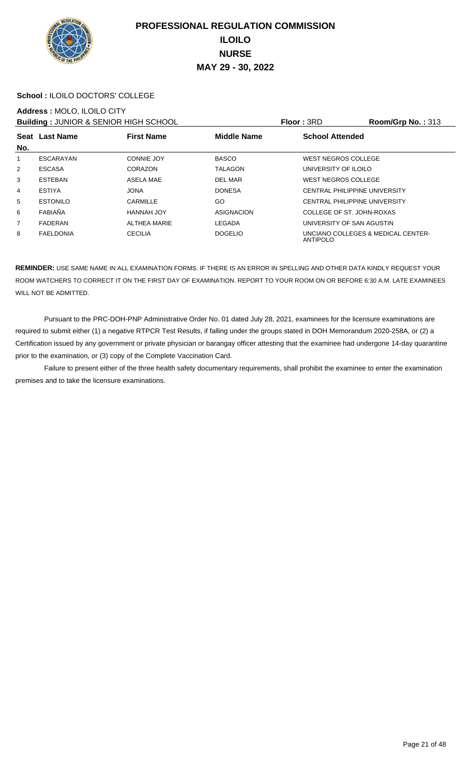

#### **School :** ILOILO DOCTORS' COLLEGE

#### **Address :** MOLO, ILOILO CITY

**Building : JUNIOR & SENIOR HIGH SCHOOL Floor : 3RD Room/Grp No. : 313** 

| — winwing + 00 hours & 0 = hours hours out o 0 = |                  |                     |                | .                                              |  |  |
|--------------------------------------------------|------------------|---------------------|----------------|------------------------------------------------|--|--|
| No.                                              | Seat Last Name   | <b>First Name</b>   | Middle Name    | <b>School Attended</b>                         |  |  |
| 1                                                | ESCARAYAN        | <b>CONNIE JOY</b>   | <b>BASCO</b>   | WEST NEGROS COLLEGE                            |  |  |
| 2                                                | <b>ESCASA</b>    | CORAZON             | <b>TALAGON</b> | UNIVERSITY OF ILOILO                           |  |  |
| 3                                                | <b>ESTEBAN</b>   | ASELA MAE           | DEL MAR        | WEST NEGROS COLLEGE                            |  |  |
| 4                                                | <b>ESTIYA</b>    | <b>JONA</b>         | <b>DONESA</b>  | CENTRAL PHILIPPINE UNIVERSITY                  |  |  |
| 5                                                | <b>ESTONILO</b>  | CARMILLE            | GO             | CENTRAL PHILIPPINE UNIVERSITY                  |  |  |
| 6                                                | FABIAÑA          | HANNAH JOY          | ASIGNACION     | COLLEGE OF ST. JOHN-ROXAS                      |  |  |
| $\overline{7}$                                   | FADERAN          | <b>ALTHEA MARIE</b> | LEGADA         | UNIVERSITY OF SAN AGUSTIN                      |  |  |
| 8                                                | <b>FAELDONIA</b> | <b>CECILIA</b>      | <b>DOGELIO</b> | UNCIANO COLLEGES & MEDICAL CENTER-<br>ANTIPOLO |  |  |

**REMINDER:** USE SAME NAME IN ALL EXAMINATION FORMS. IF THERE IS AN ERROR IN SPELLING AND OTHER DATA KINDLY REQUEST YOUR ROOM WATCHERS TO CORRECT IT ON THE FIRST DAY OF EXAMINATION. REPORT TO YOUR ROOM ON OR BEFORE 6:30 A.M. LATE EXAMINEES WILL NOT BE ADMITTED.

 Pursuant to the PRC-DOH-PNP Administrative Order No. 01 dated July 28, 2021, examinees for the licensure examinations are required to submit either (1) a negative RTPCR Test Results, if falling under the groups stated in DOH Memorandum 2020-258A, or (2) a Certification issued by any government or private physician or barangay officer attesting that the examinee had undergone 14-day quarantine prior to the examination, or (3) copy of the Complete Vaccination Card.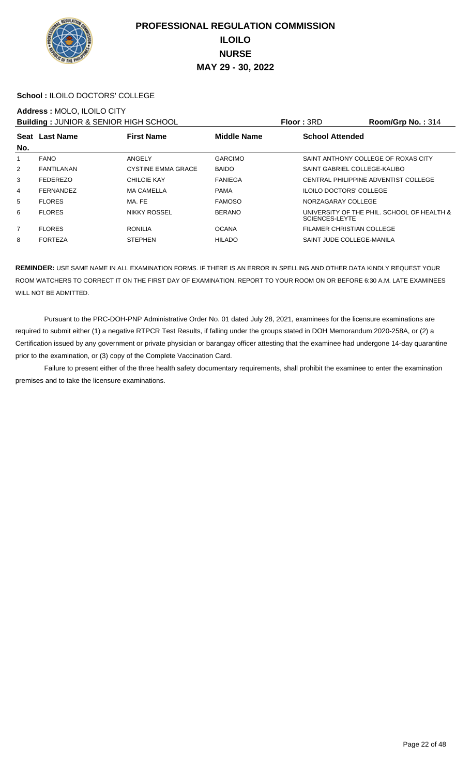

#### **School :** ILOILO DOCTORS' COLLEGE

#### **Address :** MOLO, ILOILO CITY

**Building : JUNIOR & SENIOR HIGH SCHOOL Floor : 3RD Room/Grp No. : 314** 

|                |                  |                           |                    | .                                                            |
|----------------|------------------|---------------------------|--------------------|--------------------------------------------------------------|
| No.            | Seat Last Name   | <b>First Name</b>         | <b>Middle Name</b> | <b>School Attended</b>                                       |
| 1              | <b>FANO</b>      | ANGELY                    | <b>GARCIMO</b>     | SAINT ANTHONY COLLEGE OF ROXAS CITY                          |
| $\overline{2}$ | FANTILANAN       | <b>CYSTINE EMMA GRACE</b> | <b>BAIDO</b>       | SAINT GABRIEL COLLEGE-KALIBO                                 |
| 3              | <b>FEDEREZO</b>  | <b>CHILCIE KAY</b>        | <b>FANIEGA</b>     | CENTRAL PHILIPPINE ADVENTIST COLLEGE                         |
| 4              | <b>FERNANDEZ</b> | <b>MA CAMELLA</b>         | <b>PAMA</b>        | <b>ILOILO DOCTORS' COLLEGE</b>                               |
| 5              | <b>FLORES</b>    | MA. FE                    | <b>FAMOSO</b>      | NORZAGARAY COLLEGE                                           |
| 6              | <b>FLORES</b>    | <b>NIKKY ROSSEL</b>       | <b>BERANO</b>      | UNIVERSITY OF THE PHIL. SCHOOL OF HEALTH &<br>SCIENCES-LEYTE |
| $\overline{7}$ | <b>FLORES</b>    | <b>RONILIA</b>            | <b>OCANA</b>       | FILAMER CHRISTIAN COLLEGE                                    |
| 8              | <b>FORTEZA</b>   | <b>STEPHEN</b>            | <b>HILADO</b>      | SAINT JUDE COLLEGE-MANILA                                    |
|                |                  |                           |                    |                                                              |

**REMINDER:** USE SAME NAME IN ALL EXAMINATION FORMS. IF THERE IS AN ERROR IN SPELLING AND OTHER DATA KINDLY REQUEST YOUR ROOM WATCHERS TO CORRECT IT ON THE FIRST DAY OF EXAMINATION. REPORT TO YOUR ROOM ON OR BEFORE 6:30 A.M. LATE EXAMINEES WILL NOT BE ADMITTED.

 Pursuant to the PRC-DOH-PNP Administrative Order No. 01 dated July 28, 2021, examinees for the licensure examinations are required to submit either (1) a negative RTPCR Test Results, if falling under the groups stated in DOH Memorandum 2020-258A, or (2) a Certification issued by any government or private physician or barangay officer attesting that the examinee had undergone 14-day quarantine prior to the examination, or (3) copy of the Complete Vaccination Card.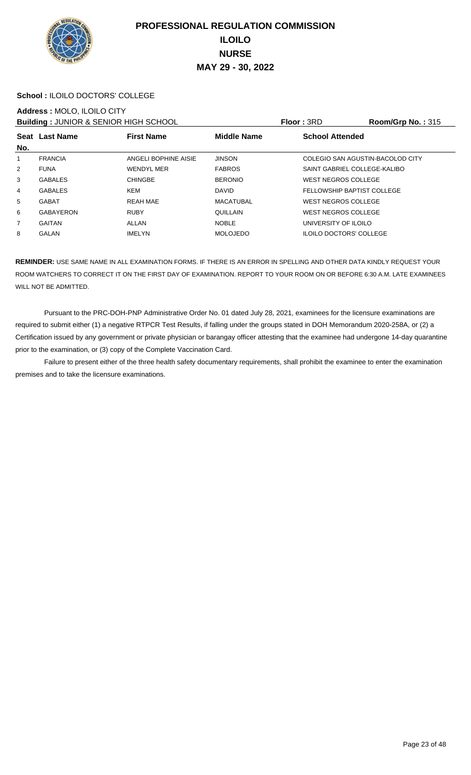

#### **School :** ILOILO DOCTORS' COLLEGE

#### **Address :** MOLO, ILOILO CITY

**Building : JUNIOR & SENIOR HIGH SCHOOL Floor : 3RD Room/Grp No. : 315** 

|                |                  |                      |                    | .                                |
|----------------|------------------|----------------------|--------------------|----------------------------------|
|                | Seat Last Name   | <b>First Name</b>    | <b>Middle Name</b> | <b>School Attended</b>           |
| No.            |                  |                      |                    |                                  |
| 1              | <b>FRANCIA</b>   | ANGELI BOPHINE AISIE | <b>JINSON</b>      | COLEGIO SAN AGUSTIN-BACOLOD CITY |
| 2              | <b>FUNA</b>      | <b>WENDYL MER</b>    | <b>FABROS</b>      | SAINT GABRIEL COLLEGE-KALIBO     |
| 3              | <b>GABALES</b>   | <b>CHINGBE</b>       | <b>BERONIO</b>     | <b>WEST NEGROS COLLEGE</b>       |
| 4              | <b>GABALES</b>   | KEM                  | <b>DAVID</b>       | FELLOWSHIP BAPTIST COLLEGE       |
| 5              | <b>GABAT</b>     | <b>REAH MAE</b>      | <b>MACATUBAL</b>   | <b>WEST NEGROS COLLEGE</b>       |
| 6              | <b>GABAYERON</b> | <b>RUBY</b>          | QUILLAIN           | <b>WEST NEGROS COLLEGE</b>       |
| $\overline{7}$ | <b>GAITAN</b>    | ALLAN                | <b>NOBLE</b>       | UNIVERSITY OF ILOILO             |
| 8              | GALAN            | <b>IMELYN</b>        | <b>MOLOJEDO</b>    | <b>ILOILO DOCTORS' COLLEGE</b>   |
|                |                  |                      |                    |                                  |

**REMINDER:** USE SAME NAME IN ALL EXAMINATION FORMS. IF THERE IS AN ERROR IN SPELLING AND OTHER DATA KINDLY REQUEST YOUR ROOM WATCHERS TO CORRECT IT ON THE FIRST DAY OF EXAMINATION. REPORT TO YOUR ROOM ON OR BEFORE 6:30 A.M. LATE EXAMINEES WILL NOT BE ADMITTED.

 Pursuant to the PRC-DOH-PNP Administrative Order No. 01 dated July 28, 2021, examinees for the licensure examinations are required to submit either (1) a negative RTPCR Test Results, if falling under the groups stated in DOH Memorandum 2020-258A, or (2) a Certification issued by any government or private physician or barangay officer attesting that the examinee had undergone 14-day quarantine prior to the examination, or (3) copy of the Complete Vaccination Card.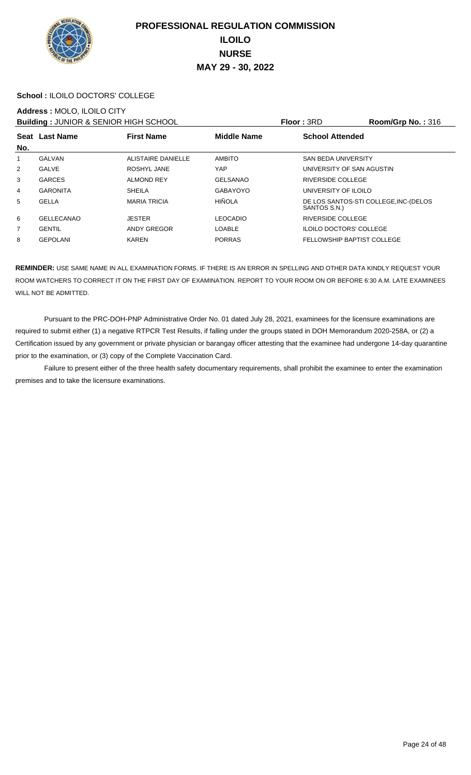

#### **School :** ILOILO DOCTORS' COLLEGE

#### **Address :** MOLO, ILOILO CITY

**Building : JUNIOR & SENIOR HIGH SCHOOL Floor : 3RD Room/Grp No. : 316** 

| <b>BUINDING : 00111011 &amp; 0LITIOIT INOIT 001100L</b> |                                                           |                           |                 | .                              | 1100111101101101010                  |  |
|---------------------------------------------------------|-----------------------------------------------------------|---------------------------|-----------------|--------------------------------|--------------------------------------|--|
|                                                         | <b>Middle Name</b><br>Seat Last Name<br><b>First Name</b> |                           |                 | <b>School Attended</b>         |                                      |  |
| No.                                                     |                                                           |                           |                 |                                |                                      |  |
| 1                                                       | <b>GALVAN</b>                                             | <b>ALISTAIRE DANIELLE</b> | <b>AMBITO</b>   | <b>SAN BEDA UNIVERSITY</b>     |                                      |  |
| $\overline{2}$                                          | GALVE                                                     | ROSHYL JANE               | YAP             |                                | UNIVERSITY OF SAN AGUSTIN            |  |
| 3                                                       | <b>GARCES</b>                                             | <b>ALMOND REY</b>         | <b>GELSANAO</b> | <b>RIVERSIDE COLLEGE</b>       |                                      |  |
| 4                                                       | <b>GARONITA</b>                                           | <b>SHEILA</b>             | GABAYOYO        | UNIVERSITY OF ILOILO           |                                      |  |
| 5                                                       | <b>GELLA</b>                                              | <b>MARIA TRICIA</b>       | <b>HIÑOLA</b>   | SANTOS S.N.)                   | DE LOS SANTOS-STI COLLEGE.INC-(DELOS |  |
| 6                                                       | <b>GELLECANAO</b>                                         | <b>JESTER</b>             | <b>LEOCADIO</b> | RIVERSIDE COLLEGE              |                                      |  |
| $\overline{7}$                                          | <b>GENTIL</b>                                             | ANDY GREGOR               | <b>LOABLE</b>   | <b>ILOILO DOCTORS' COLLEGE</b> |                                      |  |
| 8                                                       | <b>GEPOLANI</b>                                           | <b>KAREN</b>              | <b>PORRAS</b>   |                                | <b>FELLOWSHIP BAPTIST COLLEGE</b>    |  |

**REMINDER:** USE SAME NAME IN ALL EXAMINATION FORMS. IF THERE IS AN ERROR IN SPELLING AND OTHER DATA KINDLY REQUEST YOUR ROOM WATCHERS TO CORRECT IT ON THE FIRST DAY OF EXAMINATION. REPORT TO YOUR ROOM ON OR BEFORE 6:30 A.M. LATE EXAMINEES WILL NOT BE ADMITTED.

 Pursuant to the PRC-DOH-PNP Administrative Order No. 01 dated July 28, 2021, examinees for the licensure examinations are required to submit either (1) a negative RTPCR Test Results, if falling under the groups stated in DOH Memorandum 2020-258A, or (2) a Certification issued by any government or private physician or barangay officer attesting that the examinee had undergone 14-day quarantine prior to the examination, or (3) copy of the Complete Vaccination Card.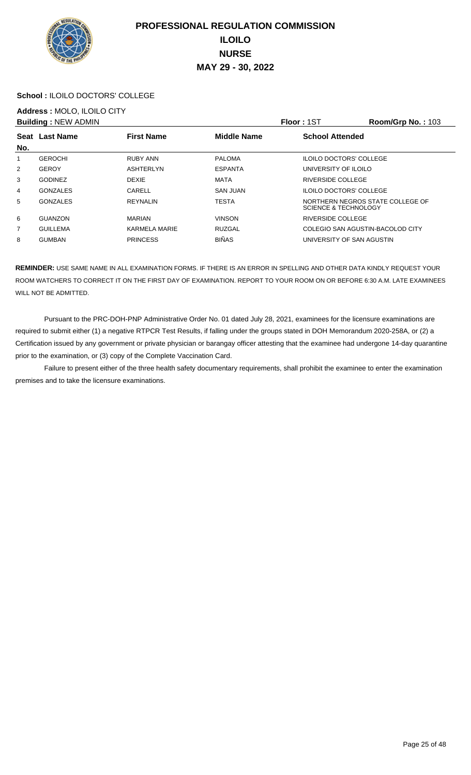

#### **School :** ILOILO DOCTORS' COLLEGE

## **Address :** MOLO, ILOILO CITY

|                | <b>Building: NEW ADMIN</b> |                   |                    | Floor: 1ST                       | <b>Room/Grp No.: 103</b>         |
|----------------|----------------------------|-------------------|--------------------|----------------------------------|----------------------------------|
| No.            | Seat Last Name             | <b>First Name</b> | <b>Middle Name</b> | <b>School Attended</b>           |                                  |
| 1              | <b>GEROCHI</b>             | RUBY ANN          | <b>PALOMA</b>      | <b>ILOILO DOCTORS' COLLEGE</b>   |                                  |
| $\overline{2}$ | <b>GEROY</b>               | ASHTERLYN         | <b>ESPANTA</b>     | UNIVERSITY OF ILOILO             |                                  |
| 3              | <b>GODINEZ</b>             | <b>DEXIE</b>      | MATA               | RIVERSIDE COLLEGE                |                                  |
| 4              | <b>GONZALES</b>            | CARELL            | SAN JUAN           | <b>ILOILO DOCTORS' COLLEGE</b>   |                                  |
| 5              | <b>GONZALES</b>            | <b>REYNALIN</b>   | <b>TESTA</b>       | SCIENCE & TECHNOLOGY             | NORTHERN NEGROS STATE COLLEGE OF |
| 6              | GUANZON                    | <b>MARIAN</b>     | <b>VINSON</b>      | RIVERSIDE COLLEGE                |                                  |
| $\overline{7}$ | <b>GUILLEMA</b>            | KARMELA MARIE     | RUZGAL             | COLEGIO SAN AGUSTIN-BACOLOD CITY |                                  |
| 8              | <b>GUMBAN</b>              | <b>PRINCESS</b>   | <b>BIÑAS</b>       | UNIVERSITY OF SAN AGUSTIN        |                                  |

**REMINDER:** USE SAME NAME IN ALL EXAMINATION FORMS. IF THERE IS AN ERROR IN SPELLING AND OTHER DATA KINDLY REQUEST YOUR ROOM WATCHERS TO CORRECT IT ON THE FIRST DAY OF EXAMINATION. REPORT TO YOUR ROOM ON OR BEFORE 6:30 A.M. LATE EXAMINEES WILL NOT BE ADMITTED.

 Pursuant to the PRC-DOH-PNP Administrative Order No. 01 dated July 28, 2021, examinees for the licensure examinations are required to submit either (1) a negative RTPCR Test Results, if falling under the groups stated in DOH Memorandum 2020-258A, or (2) a Certification issued by any government or private physician or barangay officer attesting that the examinee had undergone 14-day quarantine prior to the examination, or (3) copy of the Complete Vaccination Card.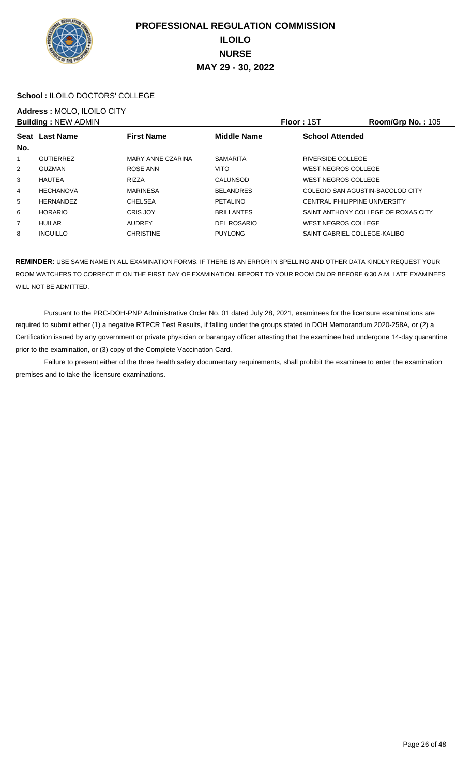

#### **School :** ILOILO DOCTORS' COLLEGE

# **Address :** MOLO, ILOILO CITY

|                | <b>Building: NEW ADMIN</b> |                   |                    | Floor: 1ST                       | <b>Room/Grp No.: 105</b>            |
|----------------|----------------------------|-------------------|--------------------|----------------------------------|-------------------------------------|
|                | Seat Last Name             | <b>First Name</b> | <b>Middle Name</b> | <b>School Attended</b>           |                                     |
| No.            |                            |                   |                    |                                  |                                     |
| 1              | <b>GUTIERREZ</b>           | MARY ANNE CZARINA | <b>SAMARITA</b>    | RIVERSIDE COLLEGE                |                                     |
| 2              | <b>GUZMAN</b>              | ROSE ANN          | <b>VITO</b>        | <b>WEST NEGROS COLLEGE</b>       |                                     |
| 3              | <b>HAUTEA</b>              | <b>RIZZA</b>      | <b>CALUNSOD</b>    | WEST NEGROS COLLEGE              |                                     |
| 4              | <b>HECHANOVA</b>           | <b>MARINESA</b>   | <b>BELANDRES</b>   | COLEGIO SAN AGUSTIN-BACOLOD CITY |                                     |
| 5              | <b>HERNANDEZ</b>           | <b>CHELSEA</b>    | <b>PETALINO</b>    | CENTRAL PHILIPPINE UNIVERSITY    |                                     |
| 6              | <b>HORARIO</b>             | <b>CRIS JOY</b>   | <b>BRILLANTES</b>  |                                  | SAINT ANTHONY COLLEGE OF ROXAS CITY |
| $\overline{7}$ | HUILAR                     | AUDREY            | DEL ROSARIO        | WEST NEGROS COLLEGE              |                                     |
| 8              | <b>INGUILLO</b>            | <b>CHRISTINE</b>  | <b>PUYLONG</b>     | SAINT GABRIEL COLLEGE-KALIBO     |                                     |

**REMINDER:** USE SAME NAME IN ALL EXAMINATION FORMS. IF THERE IS AN ERROR IN SPELLING AND OTHER DATA KINDLY REQUEST YOUR ROOM WATCHERS TO CORRECT IT ON THE FIRST DAY OF EXAMINATION. REPORT TO YOUR ROOM ON OR BEFORE 6:30 A.M. LATE EXAMINEES WILL NOT BE ADMITTED.

 Pursuant to the PRC-DOH-PNP Administrative Order No. 01 dated July 28, 2021, examinees for the licensure examinations are required to submit either (1) a negative RTPCR Test Results, if falling under the groups stated in DOH Memorandum 2020-258A, or (2) a Certification issued by any government or private physician or barangay officer attesting that the examinee had undergone 14-day quarantine prior to the examination, or (3) copy of the Complete Vaccination Card.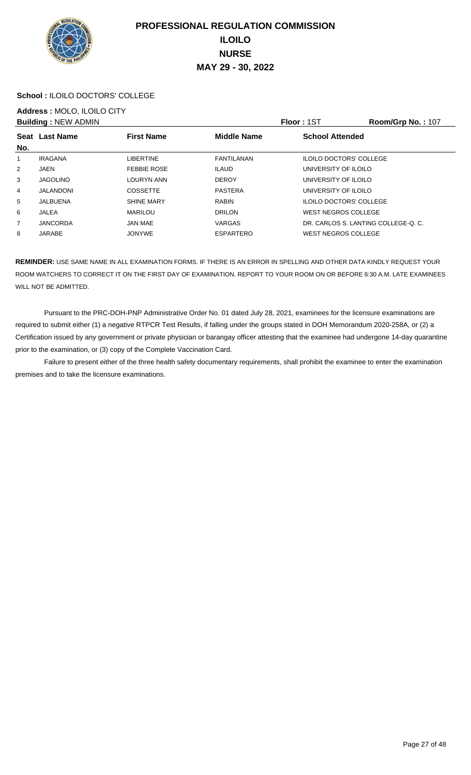

#### **School :** ILOILO DOCTORS' COLLEGE

## **Address :** MOLO, ILOILO CITY

|                | <b>Building: NEW ADMIN</b> |                    |                    | <b>Floor: 1ST</b>                   | Room/Grp No.: 107 |
|----------------|----------------------------|--------------------|--------------------|-------------------------------------|-------------------|
| No.            | Seat Last Name             | <b>First Name</b>  | <b>Middle Name</b> | <b>School Attended</b>              |                   |
| 1              | <b>IRAGANA</b>             | LIBERTINE          | FANTILANAN         | <b>ILOILO DOCTORS' COLLEGE</b>      |                   |
| 2              | JAEN                       | <b>FEBBIE ROSE</b> | <b>ILAUD</b>       | UNIVERSITY OF ILOILO                |                   |
| 3              | <b>JAGOLINO</b>            | <b>LOURYN ANN</b>  | <b>DEROY</b>       | UNIVERSITY OF ILOILO                |                   |
| 4              | <b>JALANDONI</b>           | <b>COSSETTE</b>    | <b>PASTERA</b>     | UNIVERSITY OF ILOILO                |                   |
| 5              | JALBUENA                   | <b>SHINE MARY</b>  | RABIN              | <b>ILOILO DOCTORS' COLLEGE</b>      |                   |
| 6              | JALEA                      | <b>MARILOU</b>     | <b>DRILON</b>      | WEST NEGROS COLLEGE                 |                   |
| $\overline{7}$ | <b>JANCORDA</b>            | JAN MAE            | <b>VARGAS</b>      | DR. CARLOS S. LANTING COLLEGE-O. C. |                   |
| 8              | JARABE                     | <b>JONYWE</b>      | <b>ESPARTERO</b>   | WEST NEGROS COLLEGE                 |                   |

**REMINDER:** USE SAME NAME IN ALL EXAMINATION FORMS. IF THERE IS AN ERROR IN SPELLING AND OTHER DATA KINDLY REQUEST YOUR ROOM WATCHERS TO CORRECT IT ON THE FIRST DAY OF EXAMINATION. REPORT TO YOUR ROOM ON OR BEFORE 6:30 A.M. LATE EXAMINEES WILL NOT BE ADMITTED.

 Pursuant to the PRC-DOH-PNP Administrative Order No. 01 dated July 28, 2021, examinees for the licensure examinations are required to submit either (1) a negative RTPCR Test Results, if falling under the groups stated in DOH Memorandum 2020-258A, or (2) a Certification issued by any government or private physician or barangay officer attesting that the examinee had undergone 14-day quarantine prior to the examination, or (3) copy of the Complete Vaccination Card.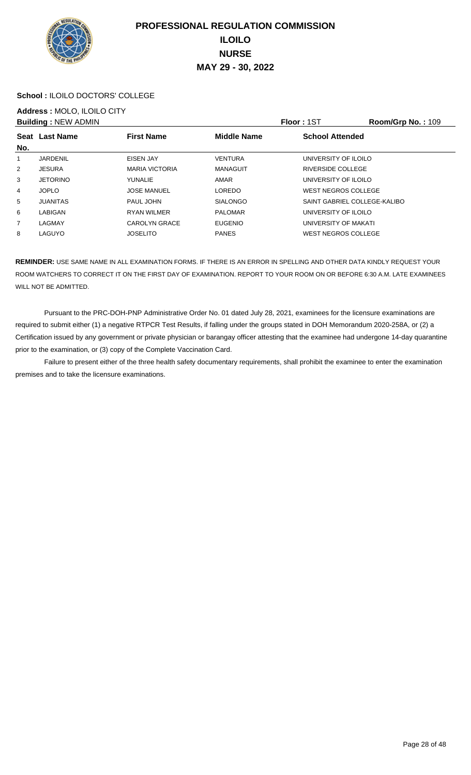

#### **School :** ILOILO DOCTORS' COLLEGE

## **Address :** MOLO, ILOILO CITY

|                | <b>Building: NEW ADMIN</b> |                       |                    | Floor: 1ST                   | Room/Grp No.: 109 |
|----------------|----------------------------|-----------------------|--------------------|------------------------------|-------------------|
| No.            | Seat Last Name             | <b>First Name</b>     | <b>Middle Name</b> | <b>School Attended</b>       |                   |
| 1              | <b>JARDENIL</b>            | EISEN JAY             | <b>VENTURA</b>     | UNIVERSITY OF ILOILO         |                   |
| $\overline{2}$ | <b>JESURA</b>              | <b>MARIA VICTORIA</b> | <b>MANAGUIT</b>    | RIVERSIDE COLLEGE            |                   |
| 3              | <b>JETORINO</b>            | <b>YUNALIE</b>        | AMAR               | UNIVERSITY OF ILOILO         |                   |
| 4              | <b>JOPLO</b>               | <b>JOSE MANUEL</b>    | <b>LOREDO</b>      | <b>WEST NEGROS COLLEGE</b>   |                   |
| 5              | <b>JUANITAS</b>            | PAUL JOHN             | <b>SIALONGO</b>    | SAINT GABRIEL COLLEGE-KALIBO |                   |
| 6              | LABIGAN                    | <b>RYAN WILMER</b>    | <b>PALOMAR</b>     | UNIVERSITY OF ILOILO         |                   |
| $\overline{7}$ | LAGMAY                     | CAROLYN GRACE         | <b>EUGENIO</b>     | UNIVERSITY OF MAKATI         |                   |
| 8              | LAGUYO                     | <b>JOSELITO</b>       | <b>PANES</b>       | <b>WEST NEGROS COLLEGE</b>   |                   |

**REMINDER:** USE SAME NAME IN ALL EXAMINATION FORMS. IF THERE IS AN ERROR IN SPELLING AND OTHER DATA KINDLY REQUEST YOUR ROOM WATCHERS TO CORRECT IT ON THE FIRST DAY OF EXAMINATION. REPORT TO YOUR ROOM ON OR BEFORE 6:30 A.M. LATE EXAMINEES WILL NOT BE ADMITTED.

 Pursuant to the PRC-DOH-PNP Administrative Order No. 01 dated July 28, 2021, examinees for the licensure examinations are required to submit either (1) a negative RTPCR Test Results, if falling under the groups stated in DOH Memorandum 2020-258A, or (2) a Certification issued by any government or private physician or barangay officer attesting that the examinee had undergone 14-day quarantine prior to the examination, or (3) copy of the Complete Vaccination Card.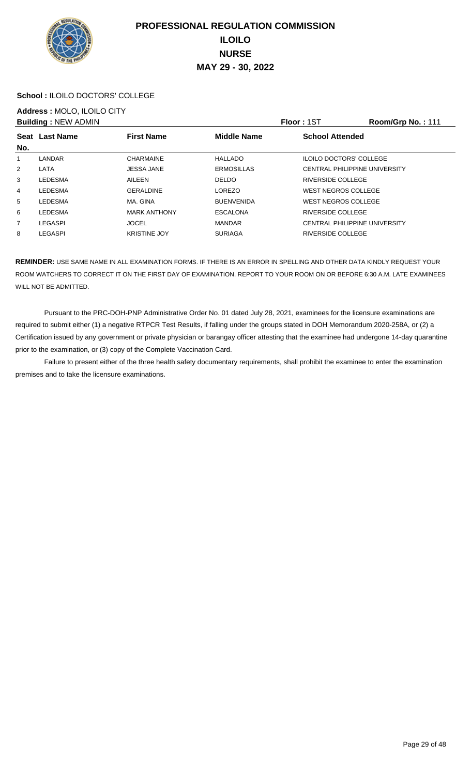

#### **School :** ILOILO DOCTORS' COLLEGE

# **Address :** MOLO, ILOILO CITY

|             | <b>Building: NEW ADMIN</b> |                     |                    | <b>Floor: 1ST</b>                    | Room/Grp No.: 111 |
|-------------|----------------------------|---------------------|--------------------|--------------------------------------|-------------------|
| <b>Seat</b> | <b>Last Name</b>           | <b>First Name</b>   | <b>Middle Name</b> | <b>School Attended</b>               |                   |
| No.         |                            |                     |                    |                                      |                   |
|             | LANDAR                     | <b>CHARMAINE</b>    | <b>HALLADO</b>     | <b>ILOILO DOCTORS' COLLEGE</b>       |                   |
| 2           | LATA                       | <b>JESSA JANE</b>   | <b>ERMOSILLAS</b>  | <b>CENTRAL PHILIPPINE UNIVERSITY</b> |                   |
| 3           | <b>LEDESMA</b>             | AILEEN              | <b>DELDO</b>       | RIVERSIDE COLLEGE                    |                   |
| 4           | <b>LEDESMA</b>             | <b>GERALDINE</b>    | <b>LOREZO</b>      | <b>WEST NEGROS COLLEGE</b>           |                   |
| 5           | LEDESMA                    | MA, GINA            | <b>BUENVENIDA</b>  | WEST NEGROS COLLEGE                  |                   |
| 6           | <b>LEDESMA</b>             | <b>MARK ANTHONY</b> | <b>ESCALONA</b>    | RIVERSIDE COLLEGE                    |                   |
| 7           | LEGASPI                    | <b>JOCEL</b>        | <b>MANDAR</b>      | <b>CENTRAL PHILIPPINE UNIVERSITY</b> |                   |
| 8           | <b>LEGASPI</b>             | <b>KRISTINE JOY</b> | <b>SURIAGA</b>     | RIVERSIDE COLLEGE                    |                   |

**REMINDER:** USE SAME NAME IN ALL EXAMINATION FORMS. IF THERE IS AN ERROR IN SPELLING AND OTHER DATA KINDLY REQUEST YOUR ROOM WATCHERS TO CORRECT IT ON THE FIRST DAY OF EXAMINATION. REPORT TO YOUR ROOM ON OR BEFORE 6:30 A.M. LATE EXAMINEES WILL NOT BE ADMITTED.

 Pursuant to the PRC-DOH-PNP Administrative Order No. 01 dated July 28, 2021, examinees for the licensure examinations are required to submit either (1) a negative RTPCR Test Results, if falling under the groups stated in DOH Memorandum 2020-258A, or (2) a Certification issued by any government or private physician or barangay officer attesting that the examinee had undergone 14-day quarantine prior to the examination, or (3) copy of the Complete Vaccination Card.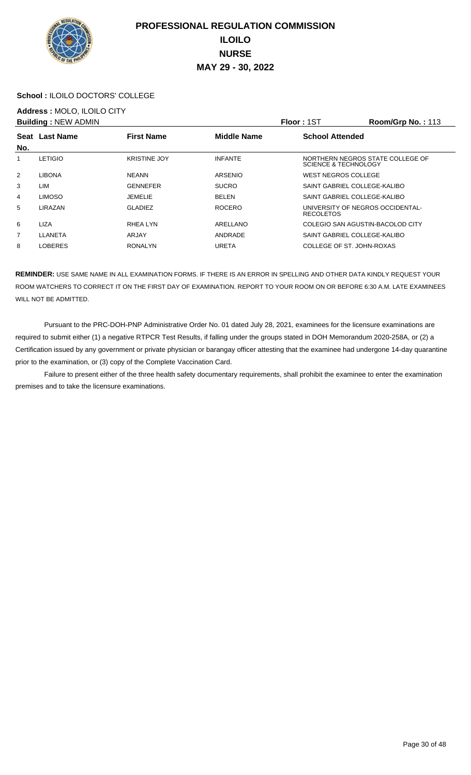

#### **School :** ILOILO DOCTORS' COLLEGE

## **Address :** MOLO, ILOILO CITY

|                | <b>Building: NEW ADMIN</b> |                     |                    | <b>Floor: 1ST</b>                                        | Room/Grp No.: 113 |
|----------------|----------------------------|---------------------|--------------------|----------------------------------------------------------|-------------------|
| Seat           | <b>Last Name</b>           | <b>First Name</b>   | <b>Middle Name</b> | <b>School Attended</b>                                   |                   |
| No.            |                            |                     |                    |                                                          |                   |
|                | <b>LETIGIO</b>             | <b>KRISTINE JOY</b> | <b>INFANTE</b>     | NORTHERN NEGROS STATE COLLEGE OF<br>SCIENCE & TECHNOLOGY |                   |
| $\overline{2}$ | <b>LIBONA</b>              | <b>NEANN</b>        | <b>ARSENIO</b>     | <b>WEST NEGROS COLLEGE</b>                               |                   |
| 3              | LIM                        | <b>GENNEFER</b>     | <b>SUCRO</b>       | SAINT GABRIEL COLLEGE-KALIBO                             |                   |
| 4              | <b>LIMOSO</b>              | JEMELIE             | <b>BELEN</b>       | SAINT GABRIEL COLLEGE-KALIBO                             |                   |
| 5              | LIRAZAN                    | <b>GLADIEZ</b>      | <b>ROCERO</b>      | UNIVERSITY OF NEGROS OCCIDENTAL-<br><b>RECOLETOS</b>     |                   |
| 6              | <b>LIZA</b>                | RHEA LYN            | ARELLANO           | COLEGIO SAN AGUSTIN-BACOLOD CITY                         |                   |
| 7              | LLANETA                    | ARJAY               | ANDRADE            | SAINT GABRIEL COLLEGE-KALIBO                             |                   |
| 8              | <b>LOBERES</b>             | <b>RONALYN</b>      | <b>URETA</b>       | COLLEGE OF ST. JOHN-ROXAS                                |                   |

**REMINDER:** USE SAME NAME IN ALL EXAMINATION FORMS. IF THERE IS AN ERROR IN SPELLING AND OTHER DATA KINDLY REQUEST YOUR ROOM WATCHERS TO CORRECT IT ON THE FIRST DAY OF EXAMINATION. REPORT TO YOUR ROOM ON OR BEFORE 6:30 A.M. LATE EXAMINEES WILL NOT BE ADMITTED.

 Pursuant to the PRC-DOH-PNP Administrative Order No. 01 dated July 28, 2021, examinees for the licensure examinations are required to submit either (1) a negative RTPCR Test Results, if falling under the groups stated in DOH Memorandum 2020-258A, or (2) a Certification issued by any government or private physician or barangay officer attesting that the examinee had undergone 14-day quarantine prior to the examination, or (3) copy of the Complete Vaccination Card.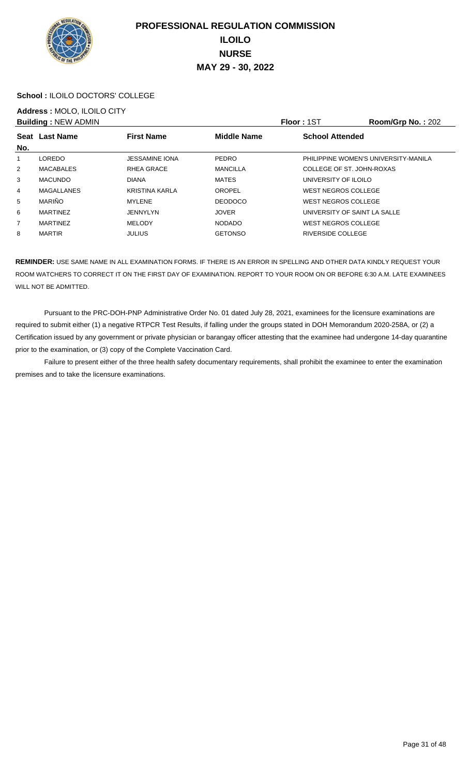

#### **School :** ILOILO DOCTORS' COLLEGE

## **Address :** MOLO, ILOILO CITY

|                | <b>Building: NEW ADMIN</b> |                       |                    | Floor: 1ST                 | Room/Grp No.: 202                    |
|----------------|----------------------------|-----------------------|--------------------|----------------------------|--------------------------------------|
| No.            | Seat Last Name             | <b>First Name</b>     | <b>Middle Name</b> | <b>School Attended</b>     |                                      |
|                | <b>LOREDO</b>              | <b>JESSAMINE IONA</b> | <b>PEDRO</b>       |                            | PHILIPPINE WOMEN'S UNIVERSITY-MANILA |
| $\overline{2}$ | MACABALES                  | RHEA GRACE            | <b>MANCILLA</b>    |                            | COLLEGE OF ST. JOHN-ROXAS            |
| 3              | <b>MACUNDO</b>             | <b>DIANA</b>          | <b>MATES</b>       | UNIVERSITY OF ILOILO       |                                      |
| 4              | MAGALLANES                 | <b>KRISTINA KARLA</b> | OROPEL             | WEST NEGROS COLLEGE        |                                      |
| 5              | <b>MARIÑO</b>              | <b>MYLENE</b>         | <b>DEODOCO</b>     | WEST NEGROS COLLEGE        |                                      |
| 6              | <b>MARTINEZ</b>            | JENNYLYN              | <b>JOVER</b>       |                            | UNIVERSITY OF SAINT LA SALLE         |
| $\overline{7}$ | <b>MARTINEZ</b>            | <b>MELODY</b>         | <b>NODADO</b>      | <b>WEST NEGROS COLLEGE</b> |                                      |
| 8              | <b>MARTIR</b>              | <b>JULIUS</b>         | <b>GETONSO</b>     | RIVERSIDE COLLEGE          |                                      |

**REMINDER:** USE SAME NAME IN ALL EXAMINATION FORMS. IF THERE IS AN ERROR IN SPELLING AND OTHER DATA KINDLY REQUEST YOUR ROOM WATCHERS TO CORRECT IT ON THE FIRST DAY OF EXAMINATION. REPORT TO YOUR ROOM ON OR BEFORE 6:30 A.M. LATE EXAMINEES WILL NOT BE ADMITTED.

 Pursuant to the PRC-DOH-PNP Administrative Order No. 01 dated July 28, 2021, examinees for the licensure examinations are required to submit either (1) a negative RTPCR Test Results, if falling under the groups stated in DOH Memorandum 2020-258A, or (2) a Certification issued by any government or private physician or barangay officer attesting that the examinee had undergone 14-day quarantine prior to the examination, or (3) copy of the Complete Vaccination Card.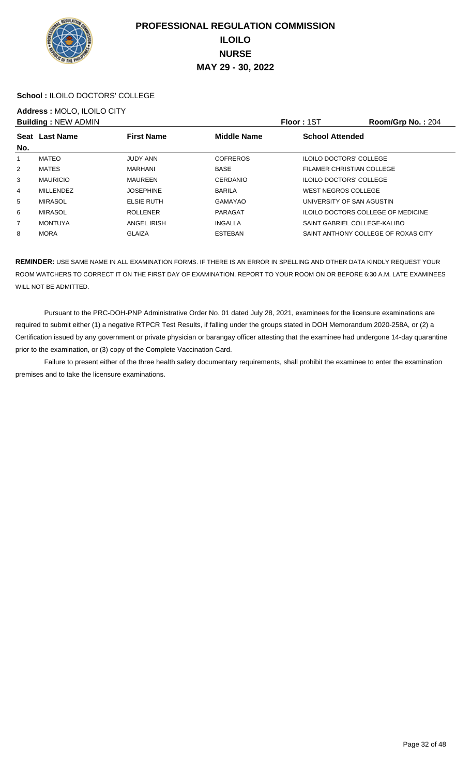

#### **School :** ILOILO DOCTORS' COLLEGE

## **Address :** MOLO, ILOILO CITY

|                | <b>Building: NEW ADMIN</b> |                   |                    | <b>Floor: 1ST</b>                  | Room/Grp No.: 204                   |
|----------------|----------------------------|-------------------|--------------------|------------------------------------|-------------------------------------|
|                | Seat Last Name             | <b>First Name</b> | <b>Middle Name</b> | <b>School Attended</b>             |                                     |
| No.            |                            |                   |                    |                                    |                                     |
| 1              | MATEO                      | <b>JUDY ANN</b>   | <b>COFREROS</b>    | <b>ILOILO DOCTORS' COLLEGE</b>     |                                     |
| 2              | <b>MATES</b>               | MARHANI           | <b>BASE</b>        | FILAMER CHRISTIAN COLLEGE          |                                     |
| 3              | <b>MAURICIO</b>            | MAUREEN           | CERDANIO           | <b>ILOILO DOCTORS' COLLEGE</b>     |                                     |
| 4              | <b>MILLENDEZ</b>           | <b>JOSEPHINE</b>  | <b>BARILA</b>      | <b>WEST NEGROS COLLEGE</b>         |                                     |
| 5              | <b>MIRASOL</b>             | <b>ELSIE RUTH</b> | GAMAYAO            | UNIVERSITY OF SAN AGUSTIN          |                                     |
| 6              | <b>MIRASOL</b>             | <b>ROLLENER</b>   | PARAGAT            | ILOILO DOCTORS COLLEGE OF MEDICINE |                                     |
| $\overline{7}$ | <b>MONTUYA</b>             | ANGEL IRISH       | INGALLA            | SAINT GABRIEL COLLEGE-KALIBO       |                                     |
| 8              | <b>MORA</b>                | <b>GLAIZA</b>     | <b>ESTEBAN</b>     |                                    | SAINT ANTHONY COLLEGE OF ROXAS CITY |

**REMINDER:** USE SAME NAME IN ALL EXAMINATION FORMS. IF THERE IS AN ERROR IN SPELLING AND OTHER DATA KINDLY REQUEST YOUR ROOM WATCHERS TO CORRECT IT ON THE FIRST DAY OF EXAMINATION. REPORT TO YOUR ROOM ON OR BEFORE 6:30 A.M. LATE EXAMINEES WILL NOT BE ADMITTED.

 Pursuant to the PRC-DOH-PNP Administrative Order No. 01 dated July 28, 2021, examinees for the licensure examinations are required to submit either (1) a negative RTPCR Test Results, if falling under the groups stated in DOH Memorandum 2020-258A, or (2) a Certification issued by any government or private physician or barangay officer attesting that the examinee had undergone 14-day quarantine prior to the examination, or (3) copy of the Complete Vaccination Card.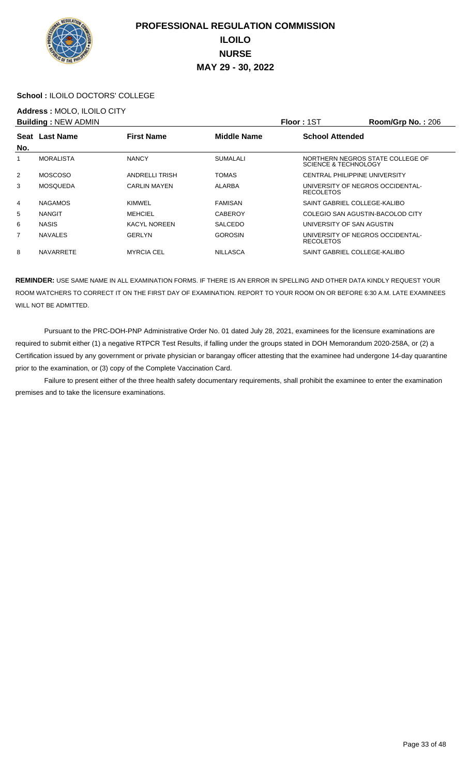

#### **School :** ILOILO DOCTORS' COLLEGE

## **Address :** MOLO, ILOILO CITY

|     | <b>Building: NEW ADMIN</b> |                       |                    | <b>Floor: 1ST</b>                                        | <b>Room/Grp No.: 206</b> |
|-----|----------------------------|-----------------------|--------------------|----------------------------------------------------------|--------------------------|
|     | Seat Last Name             | <b>First Name</b>     | <b>Middle Name</b> | <b>School Attended</b>                                   |                          |
| No. |                            |                       |                    |                                                          |                          |
|     | <b>MORALISTA</b>           | <b>NANCY</b>          | <b>SUMALALI</b>    | NORTHERN NEGROS STATE COLLEGE OF<br>SCIENCE & TECHNOLOGY |                          |
| 2   | <b>MOSCOSO</b>             | <b>ANDRELLI TRISH</b> | <b>TOMAS</b>       | <b>CENTRAL PHILIPPINE UNIVERSITY</b>                     |                          |
| 3   | MOSOUEDA                   | <b>CARLIN MAYEN</b>   | <b>ALARBA</b>      | UNIVERSITY OF NEGROS OCCIDENTAL-<br><b>RECOLETOS</b>     |                          |
| 4   | <b>NAGAMOS</b>             | KIMWEL                | <b>FAMISAN</b>     | SAINT GABRIEL COLLEGE-KALIBO                             |                          |
| 5   | <b>NANGIT</b>              | <b>MEHCIEL</b>        | <b>CABEROY</b>     | COLEGIO SAN AGUSTIN-BACOLOD CITY                         |                          |
| 6   | <b>NASIS</b>               | <b>KACYL NOREEN</b>   | <b>SALCEDO</b>     | UNIVERSITY OF SAN AGUSTIN                                |                          |
| 7   | <b>NAVALES</b>             | <b>GERLYN</b>         | <b>GOROSIN</b>     | UNIVERSITY OF NEGROS OCCIDENTAL-<br><b>RECOLETOS</b>     |                          |
| 8   | <b>NAVARRETE</b>           | <b>MYRCIA CEL</b>     | <b>NILLASCA</b>    | SAINT GABRIEL COLLEGE-KALIBO                             |                          |

**REMINDER:** USE SAME NAME IN ALL EXAMINATION FORMS. IF THERE IS AN ERROR IN SPELLING AND OTHER DATA KINDLY REQUEST YOUR ROOM WATCHERS TO CORRECT IT ON THE FIRST DAY OF EXAMINATION. REPORT TO YOUR ROOM ON OR BEFORE 6:30 A.M. LATE EXAMINEES WILL NOT BE ADMITTED.

 Pursuant to the PRC-DOH-PNP Administrative Order No. 01 dated July 28, 2021, examinees for the licensure examinations are required to submit either (1) a negative RTPCR Test Results, if falling under the groups stated in DOH Memorandum 2020-258A, or (2) a Certification issued by any government or private physician or barangay officer attesting that the examinee had undergone 14-day quarantine prior to the examination, or (3) copy of the Complete Vaccination Card.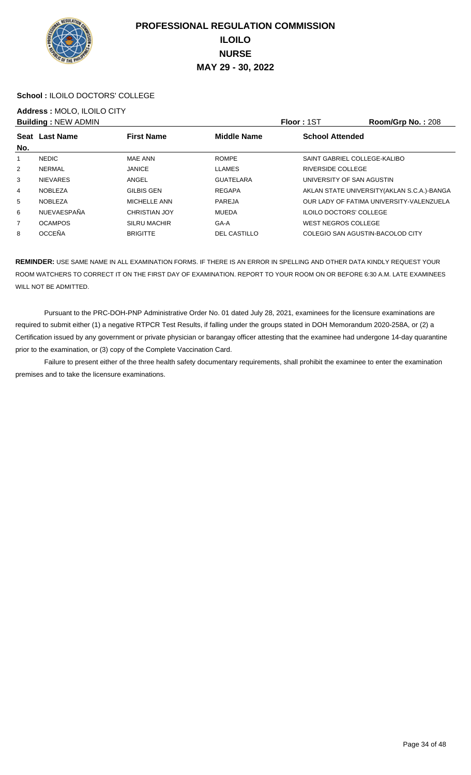

#### **School :** ILOILO DOCTORS' COLLEGE

## **Address :** MOLO, ILOILO CITY

|                | <b>Building: NEW ADMIN</b> |                      |                     | <b>Floor: 1ST</b>                | Room/Grp No.: 208                           |
|----------------|----------------------------|----------------------|---------------------|----------------------------------|---------------------------------------------|
|                | Seat Last Name             | <b>First Name</b>    | <b>Middle Name</b>  | <b>School Attended</b>           |                                             |
| No.            |                            |                      |                     |                                  |                                             |
| 1              | <b>NEDIC</b>               | MAE ANN              | <b>ROMPE</b>        | SAINT GABRIEL COLLEGE-KALIBO     |                                             |
| $\overline{2}$ | NERMAL                     | <b>JANICE</b>        | <b>LLAMES</b>       | RIVERSIDE COLLEGE                |                                             |
| 3              | <b>NIEVARES</b>            | ANGEL                | <b>GUATELARA</b>    | UNIVERSITY OF SAN AGUSTIN        |                                             |
| 4              | NOBLEZA                    | GILBIS GEN           | <b>REGAPA</b>       |                                  | AKLAN STATE UNIVERSITY (AKLAN S.C.A.)-BANGA |
| 5              | <b>NOBLEZA</b>             | MICHELLE ANN         | PAREJA              |                                  | OUR LADY OF FATIMA UNIVERSITY-VALENZUELA    |
| 6              | NUEVAESPAÑA                | <b>CHRISTIAN JOY</b> | MUEDA               | <b>ILOILO DOCTORS' COLLEGE</b>   |                                             |
| $\overline{7}$ | <b>OCAMPOS</b>             | <b>SILRU MACHIR</b>  | GA-A                | WEST NEGROS COLLEGE              |                                             |
| 8              | <b>OCCEÑA</b>              | <b>BRIGITTE</b>      | <b>DEL CASTILLO</b> | COLEGIO SAN AGUSTIN-BACOLOD CITY |                                             |

**REMINDER:** USE SAME NAME IN ALL EXAMINATION FORMS. IF THERE IS AN ERROR IN SPELLING AND OTHER DATA KINDLY REQUEST YOUR ROOM WATCHERS TO CORRECT IT ON THE FIRST DAY OF EXAMINATION. REPORT TO YOUR ROOM ON OR BEFORE 6:30 A.M. LATE EXAMINEES WILL NOT BE ADMITTED.

 Pursuant to the PRC-DOH-PNP Administrative Order No. 01 dated July 28, 2021, examinees for the licensure examinations are required to submit either (1) a negative RTPCR Test Results, if falling under the groups stated in DOH Memorandum 2020-258A, or (2) a Certification issued by any government or private physician or barangay officer attesting that the examinee had undergone 14-day quarantine prior to the examination, or (3) copy of the Complete Vaccination Card.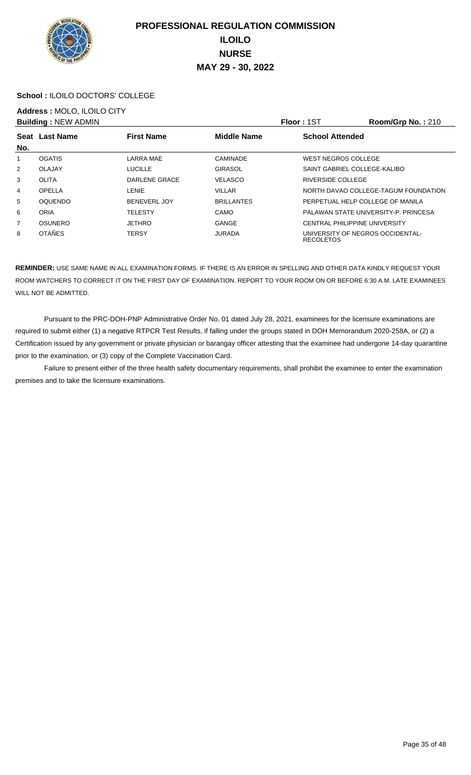

#### **School :** ILOILO DOCTORS' COLLEGE

## **Address :** MOLO, ILOILO CITY

|                | <b>Building: NEW ADMIN</b> |                     |                    | Floor: 1ST                                           | Room/Grp No.: 210                    |
|----------------|----------------------------|---------------------|--------------------|------------------------------------------------------|--------------------------------------|
|                | Seat Last Name             | <b>First Name</b>   | <b>Middle Name</b> | <b>School Attended</b>                               |                                      |
| No.            |                            |                     |                    |                                                      |                                      |
| 1              | <b>OGATIS</b>              | LARRA MAE           | CAMINADE           | WEST NEGROS COLLEGE                                  |                                      |
| 2              | OLAJAY                     | <b>LUCILLE</b>      | GIRASOL            | SAINT GABRIEL COLLEGE-KALIBO                         |                                      |
| 3              | <b>OLITA</b>               | DARLENE GRACE       | <b>VELASCO</b>     | RIVERSIDE COLLEGE                                    |                                      |
| 4              | OPELLA                     | LENIE               | <b>VILLAR</b>      |                                                      | NORTH DAVAO COLLEGE-TAGUM FOUNDATION |
| 5              | <b>OQUENDO</b>             | <b>BENEVERL JOY</b> | <b>BRILLANTES</b>  | PERPETUAL HELP COLLEGE OF MANILA                     |                                      |
| 6              | ORIA                       | <b>TELESTY</b>      | <b>CAMO</b>        |                                                      | PALAWAN STATE UNIVERSITY-P. PRINCESA |
| $\overline{7}$ | <b>OSUNERO</b>             | <b>JETHRO</b>       | GANGE              | <b>CENTRAL PHILIPPINE UNIVERSITY</b>                 |                                      |
| 8              | <b>OTAÑES</b>              | <b>TERSY</b>        | <b>JURADA</b>      | UNIVERSITY OF NEGROS OCCIDENTAL-<br><b>RECOLETOS</b> |                                      |

**REMINDER:** USE SAME NAME IN ALL EXAMINATION FORMS. IF THERE IS AN ERROR IN SPELLING AND OTHER DATA KINDLY REQUEST YOUR ROOM WATCHERS TO CORRECT IT ON THE FIRST DAY OF EXAMINATION. REPORT TO YOUR ROOM ON OR BEFORE 6:30 A.M. LATE EXAMINEES WILL NOT BE ADMITTED.

 Pursuant to the PRC-DOH-PNP Administrative Order No. 01 dated July 28, 2021, examinees for the licensure examinations are required to submit either (1) a negative RTPCR Test Results, if falling under the groups stated in DOH Memorandum 2020-258A, or (2) a Certification issued by any government or private physician or barangay officer attesting that the examinee had undergone 14-day quarantine prior to the examination, or (3) copy of the Complete Vaccination Card.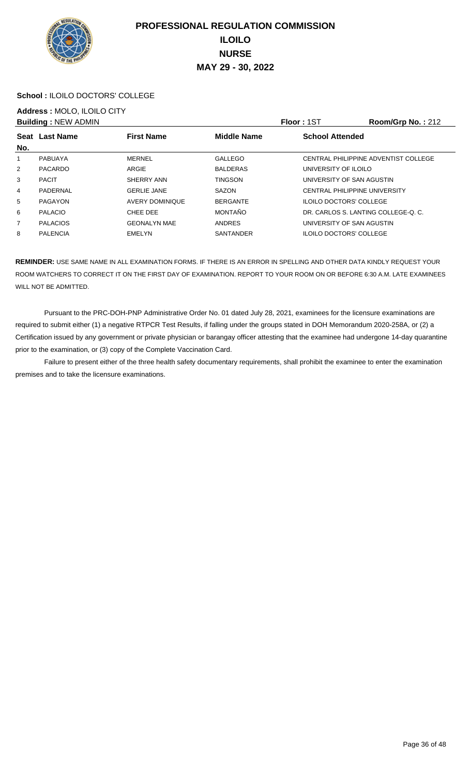

#### **School :** ILOILO DOCTORS' COLLEGE

## **Address :** MOLO, ILOILO CITY

|                | <b>Building: NEW ADMIN</b> |                     |                    | <b>Floor: 1ST</b>                    | Room/Grp No.: 212                    |
|----------------|----------------------------|---------------------|--------------------|--------------------------------------|--------------------------------------|
|                | Seat Last Name             | <b>First Name</b>   | <b>Middle Name</b> | <b>School Attended</b>               |                                      |
| No.            |                            |                     |                    |                                      |                                      |
|                | PABUAYA                    | MERNEL              | <b>GALLEGO</b>     |                                      | CENTRAL PHILIPPINE ADVENTIST COLLEGE |
| $\overline{2}$ | PACARDO                    | ARGIE               | <b>BALDERAS</b>    | UNIVERSITY OF ILOILO                 |                                      |
| 3              | <b>PACIT</b>               | SHERRY ANN          | <b>TINGSON</b>     | UNIVERSITY OF SAN AGUSTIN            |                                      |
| 4              | PADERNAL                   | <b>GERLIE JANE</b>  | SAZON              | <b>CENTRAL PHILIPPINE UNIVERSITY</b> |                                      |
| 5              | PAGAYON                    | AVERY DOMINIQUE     | <b>BERGANTE</b>    | <b>ILOILO DOCTORS' COLLEGE</b>       |                                      |
| 6              | <b>PALACIO</b>             | CHEE DEE            | <b>MONTAÑO</b>     | DR. CARLOS S. LANTING COLLEGE-O. C.  |                                      |
| $\overline{7}$ | <b>PALACIOS</b>            | <b>GEONALYN MAE</b> | <b>ANDRES</b>      | UNIVERSITY OF SAN AGUSTIN            |                                      |
| 8              | <b>PALENCIA</b>            | <b>EMELYN</b>       | SANTANDER          | <b>ILOILO DOCTORS' COLLEGE</b>       |                                      |

**REMINDER:** USE SAME NAME IN ALL EXAMINATION FORMS. IF THERE IS AN ERROR IN SPELLING AND OTHER DATA KINDLY REQUEST YOUR ROOM WATCHERS TO CORRECT IT ON THE FIRST DAY OF EXAMINATION. REPORT TO YOUR ROOM ON OR BEFORE 6:30 A.M. LATE EXAMINEES WILL NOT BE ADMITTED.

 Pursuant to the PRC-DOH-PNP Administrative Order No. 01 dated July 28, 2021, examinees for the licensure examinations are required to submit either (1) a negative RTPCR Test Results, if falling under the groups stated in DOH Memorandum 2020-258A, or (2) a Certification issued by any government or private physician or barangay officer attesting that the examinee had undergone 14-day quarantine prior to the examination, or (3) copy of the Complete Vaccination Card.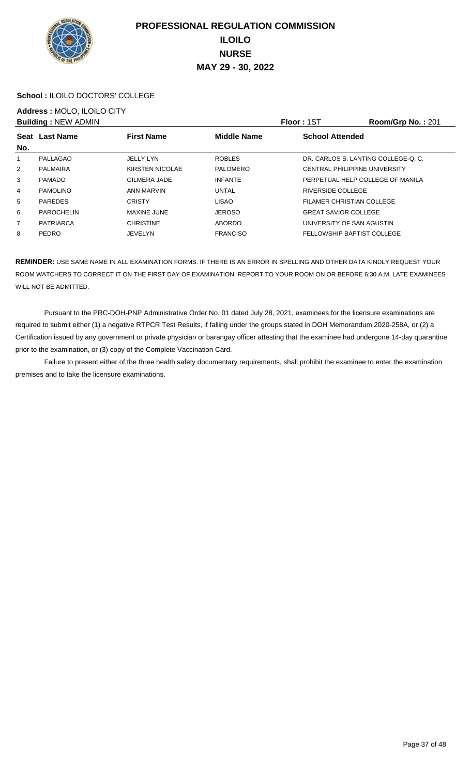

#### **School :** ILOILO DOCTORS' COLLEGE

# **Address :** MOLO, ILOILO CITY

|                | <b>Building: NEW ADMIN</b> |                     |                    | Floor: 1ST                           | Room/Grp No.: 201 |
|----------------|----------------------------|---------------------|--------------------|--------------------------------------|-------------------|
|                | Seat Last Name             | <b>First Name</b>   | <b>Middle Name</b> | <b>School Attended</b>               |                   |
| No.            |                            |                     |                    |                                      |                   |
| 1              | PALLAGAO                   | <b>JELLY LYN</b>    | <b>ROBLES</b>      | DR. CARLOS S. LANTING COLLEGE-O. C.  |                   |
| $\overline{2}$ | PALMAIRA                   | KIRSTEN NICOLAE     | <b>PALOMERO</b>    | <b>CENTRAL PHILIPPINE UNIVERSITY</b> |                   |
| 3              | <b>PAMADO</b>              | <b>GILMERA JADE</b> | <b>INFANTE</b>     | PERPETUAL HELP COLLEGE OF MANILA     |                   |
| 4              | <b>PAMOLINO</b>            | ANN MARVIN          | <b>UNTAL</b>       | RIVERSIDE COLLEGE                    |                   |
| 5              | <b>PAREDES</b>             | <b>CRISTY</b>       | <b>LISAO</b>       | FILAMER CHRISTIAN COLLEGE            |                   |
| 6              | <b>PAROCHELIN</b>          | <b>MAXINE JUNE</b>  | <b>JEROSO</b>      | <b>GREAT SAVIOR COLLEGE</b>          |                   |
| $\overline{7}$ | <b>PATRIARCA</b>           | <b>CHRISTINE</b>    | <b>ABORDO</b>      | UNIVERSITY OF SAN AGUSTIN            |                   |
| 8              | <b>PEDRO</b>               | <b>JEVELYN</b>      | <b>FRANCISO</b>    | FELLOWSHIP BAPTIST COLLEGE           |                   |

**REMINDER:** USE SAME NAME IN ALL EXAMINATION FORMS. IF THERE IS AN ERROR IN SPELLING AND OTHER DATA KINDLY REQUEST YOUR ROOM WATCHERS TO CORRECT IT ON THE FIRST DAY OF EXAMINATION. REPORT TO YOUR ROOM ON OR BEFORE 6:30 A.M. LATE EXAMINEES WILL NOT BE ADMITTED.

 Pursuant to the PRC-DOH-PNP Administrative Order No. 01 dated July 28, 2021, examinees for the licensure examinations are required to submit either (1) a negative RTPCR Test Results, if falling under the groups stated in DOH Memorandum 2020-258A, or (2) a Certification issued by any government or private physician or barangay officer attesting that the examinee had undergone 14-day quarantine prior to the examination, or (3) copy of the Complete Vaccination Card.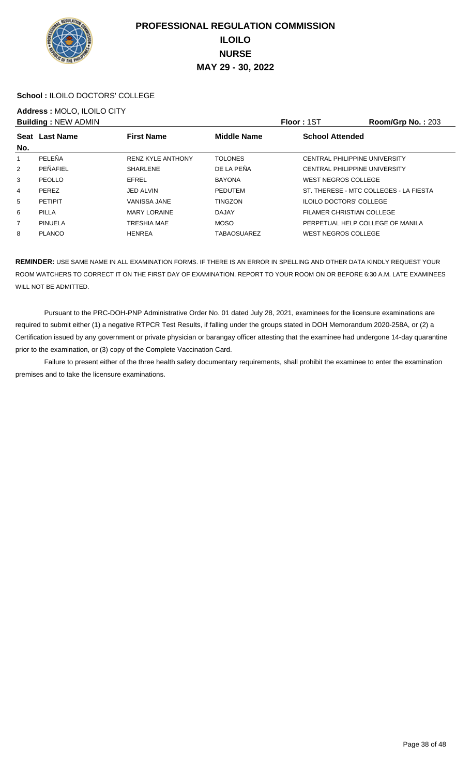

#### **School :** ILOILO DOCTORS' COLLEGE

# **Address :** MOLO, ILOILO CITY

|                | <b>Building: NEW ADMIN</b> |                          |                    | <b>Floor: 1ST</b>                | Room/Grp No.: 203                      |
|----------------|----------------------------|--------------------------|--------------------|----------------------------------|----------------------------------------|
|                | Seat Last Name             | <b>First Name</b>        | <b>Middle Name</b> | <b>School Attended</b>           |                                        |
| No.            |                            |                          |                    |                                  |                                        |
| 1              | PELEÑA                     | <b>RENZ KYLE ANTHONY</b> | <b>TOLONES</b>     | CENTRAL PHILIPPINE UNIVERSITY    |                                        |
| 2              | PEÑAFIEL                   | <b>SHARLENE</b>          | DE LA PEÑA         | CENTRAL PHILIPPINE UNIVERSITY    |                                        |
| 3              | PEOLLO                     | <b>EFREL</b>             | <b>BAYONA</b>      | WEST NEGROS COLLEGE              |                                        |
| 4              | <b>PEREZ</b>               | <b>JED ALVIN</b>         | <b>PEDUTEM</b>     |                                  | ST. THERESE - MTC COLLEGES - LA FIESTA |
| 5              | <b>PETIPIT</b>             | VANISSA JANE             | <b>TINGZON</b>     | <b>ILOILO DOCTORS' COLLEGE</b>   |                                        |
| 6              | PILLA                      | <b>MARY LORAINE</b>      | <b>DAJAY</b>       | FILAMER CHRISTIAN COLLEGE        |                                        |
| $\overline{7}$ | <b>PINUELA</b>             | <b>TRESHIA MAE</b>       | <b>MOSO</b>        | PERPETUAL HELP COLLEGE OF MANILA |                                        |
| 8              | <b>PLANCO</b>              | <b>HENREA</b>            | <b>TABAOSUAREZ</b> | WEST NEGROS COLLEGE              |                                        |

**REMINDER:** USE SAME NAME IN ALL EXAMINATION FORMS. IF THERE IS AN ERROR IN SPELLING AND OTHER DATA KINDLY REQUEST YOUR ROOM WATCHERS TO CORRECT IT ON THE FIRST DAY OF EXAMINATION. REPORT TO YOUR ROOM ON OR BEFORE 6:30 A.M. LATE EXAMINEES WILL NOT BE ADMITTED.

 Pursuant to the PRC-DOH-PNP Administrative Order No. 01 dated July 28, 2021, examinees for the licensure examinations are required to submit either (1) a negative RTPCR Test Results, if falling under the groups stated in DOH Memorandum 2020-258A, or (2) a Certification issued by any government or private physician or barangay officer attesting that the examinee had undergone 14-day quarantine prior to the examination, or (3) copy of the Complete Vaccination Card.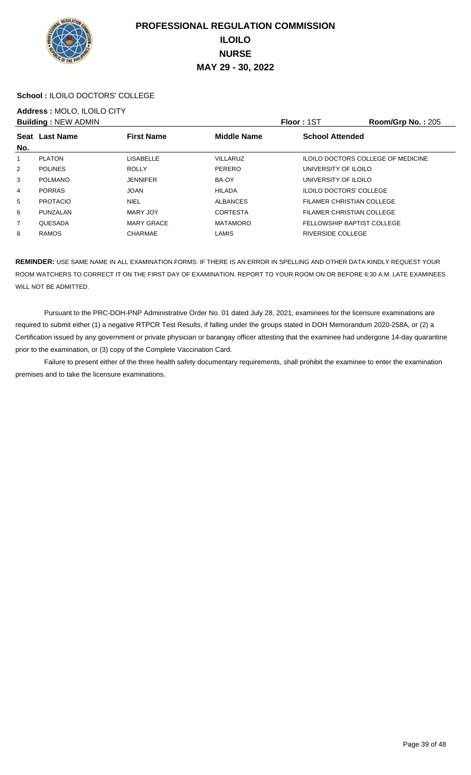

#### **School :** ILOILO DOCTORS' COLLEGE

# **Address :** MOLO, ILOILO CITY

|                | <b>Building: NEW ADMIN</b> |                   |                    | Floor: 1ST                         | <b>Room/Grp No.: 205</b> |
|----------------|----------------------------|-------------------|--------------------|------------------------------------|--------------------------|
| No.            | Seat Last Name             | <b>First Name</b> | <b>Middle Name</b> | <b>School Attended</b>             |                          |
|                | <b>PLATON</b>              | <b>LISABELLE</b>  | <b>VILLARUZ</b>    | ILOILO DOCTORS COLLEGE OF MEDICINE |                          |
| $\overline{2}$ | <b>POLINES</b>             | <b>ROLLY</b>      | PERERO             | UNIVERSITY OF ILOILO               |                          |
| 3              | <b>POLMANO</b>             | <b>JENNIFER</b>   | BA-OY              | UNIVERSITY OF ILOILO               |                          |
| 4              | <b>PORRAS</b>              | <b>JOAN</b>       | <b>HILADA</b>      | <b>ILOILO DOCTORS' COLLEGE</b>     |                          |
| 5              | <b>PROTACIO</b>            | <b>NIEL</b>       | <b>ALBANCES</b>    | FILAMER CHRISTIAN COLLEGE          |                          |
| 6              | PUNZALAN                   | MARY JOY          | <b>CORTESTA</b>    | FILAMER CHRISTIAN COLLEGE          |                          |
| $\overline{7}$ | QUESADA                    | <b>MARY GRACE</b> | <b>MATAMORO</b>    | FELLOWSHIP BAPTIST COLLEGE         |                          |
| 8              | <b>RAMOS</b>               | <b>CHARMAE</b>    | <b>LAMIS</b>       | RIVERSIDE COLLEGE                  |                          |

**REMINDER:** USE SAME NAME IN ALL EXAMINATION FORMS. IF THERE IS AN ERROR IN SPELLING AND OTHER DATA KINDLY REQUEST YOUR ROOM WATCHERS TO CORRECT IT ON THE FIRST DAY OF EXAMINATION. REPORT TO YOUR ROOM ON OR BEFORE 6:30 A.M. LATE EXAMINEES WILL NOT BE ADMITTED.

 Pursuant to the PRC-DOH-PNP Administrative Order No. 01 dated July 28, 2021, examinees for the licensure examinations are required to submit either (1) a negative RTPCR Test Results, if falling under the groups stated in DOH Memorandum 2020-258A, or (2) a Certification issued by any government or private physician or barangay officer attesting that the examinee had undergone 14-day quarantine prior to the examination, or (3) copy of the Complete Vaccination Card.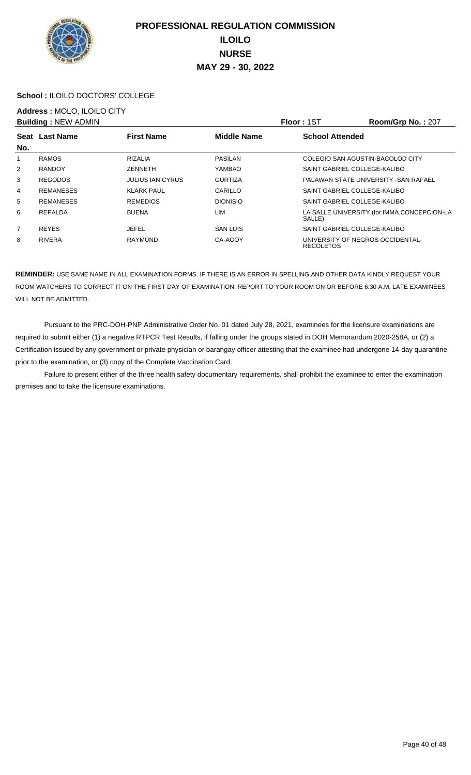

#### **School :** ILOILO DOCTORS' COLLEGE

## **Address :** MOLO, ILOILO CITY

|                | <b>Building: NEW ADMIN</b> |                         |                    | <b>Floor: 1ST</b>      | Room/Grp No.: 207                           |
|----------------|----------------------------|-------------------------|--------------------|------------------------|---------------------------------------------|
| No.            | Seat Last Name             | <b>First Name</b>       | <b>Middle Name</b> | <b>School Attended</b> |                                             |
|                | <b>RAMOS</b>               | <b>RIZALIA</b>          | PASILAN            |                        | COLEGIO SAN AGUSTIN-BACOLOD CITY            |
| 2              | <b>RANDOY</b>              | ZENNETH                 | YAMBAO             |                        | SAINT GABRIEL COLLEGE-KALIBO                |
| 3              | <b>REGODOS</b>             | <b>JULIUS IAN CYRUS</b> | <b>GURTIZA</b>     |                        | PALAWAN STATE UNIVERSITY - SAN RAFAEL       |
| 4              | <b>REMANESES</b>           | <b>KLARK PAUL</b>       | CARILLO            |                        | SAINT GABRIEL COLLEGE-KALIBO                |
| 5              | <b>REMANESES</b>           | <b>REMEDIOS</b>         | <b>DIONISIO</b>    |                        | SAINT GABRIEL COLLEGE-KALIBO                |
| 6              | REPALDA                    | <b>BUENA</b>            | LIM                | SALLE)                 | LA SALLE UNIVERSITY (for.IMMA.CONCEPCION-LA |
| $\overline{7}$ | <b>REYES</b>               | <b>JEFEL</b>            | <b>SAN LUIS</b>    |                        | SAINT GABRIEL COLLEGE-KALIBO                |
| 8              | <b>RIVERA</b>              | <b>RAYMUND</b>          | CA-AGOY            | <b>RECOLETOS</b>       | UNIVERSITY OF NEGROS OCCIDENTAL-            |

**REMINDER:** USE SAME NAME IN ALL EXAMINATION FORMS. IF THERE IS AN ERROR IN SPELLING AND OTHER DATA KINDLY REQUEST YOUR ROOM WATCHERS TO CORRECT IT ON THE FIRST DAY OF EXAMINATION. REPORT TO YOUR ROOM ON OR BEFORE 6:30 A.M. LATE EXAMINEES WILL NOT BE ADMITTED.

 Pursuant to the PRC-DOH-PNP Administrative Order No. 01 dated July 28, 2021, examinees for the licensure examinations are required to submit either (1) a negative RTPCR Test Results, if falling under the groups stated in DOH Memorandum 2020-258A, or (2) a Certification issued by any government or private physician or barangay officer attesting that the examinee had undergone 14-day quarantine prior to the examination, or (3) copy of the Complete Vaccination Card.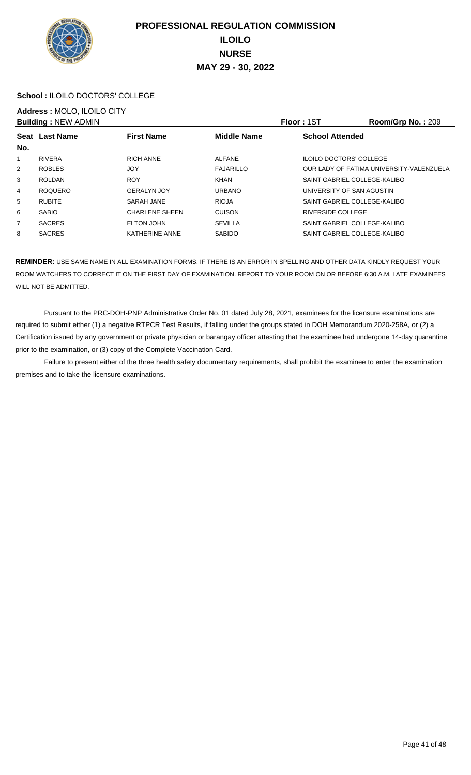

#### **School :** ILOILO DOCTORS' COLLEGE

## **Address :** MOLO, ILOILO CITY

|                |                                              |                    |                                | Room/Grp No.: 209                        |
|----------------|----------------------------------------------|--------------------|--------------------------------|------------------------------------------|
|                | <b>First Name</b>                            | <b>Middle Name</b> | <b>School Attended</b>         |                                          |
| <b>RIVERA</b>  | <b>RICH ANNE</b>                             | <b>ALFANE</b>      | <b>ILOILO DOCTORS' COLLEGE</b> |                                          |
| <b>ROBLES</b>  | <b>JOY</b>                                   | <b>FAJARILLO</b>   |                                | OUR LADY OF FATIMA UNIVERSITY-VALENZUELA |
| <b>ROLDAN</b>  | <b>ROY</b>                                   | KHAN               | SAINT GABRIEL COLLEGE-KALIBO   |                                          |
| <b>ROQUERO</b> | <b>GERALYN JOY</b>                           | <b>URBANO</b>      | UNIVERSITY OF SAN AGUSTIN      |                                          |
| <b>RUBITE</b>  | SARAH JANE                                   | <b>RIOJA</b>       | SAINT GABRIEL COLLEGE-KALIBO   |                                          |
| <b>SABIO</b>   | <b>CHARLENE SHEEN</b>                        | <b>CUISON</b>      | RIVERSIDE COLLEGE              |                                          |
| <b>SACRES</b>  | ELTON JOHN                                   | <b>SEVILLA</b>     | SAINT GABRIEL COLLEGE-KALIBO   |                                          |
| <b>SACRES</b>  | KATHERINE ANNE                               | <b>SABIDO</b>      | SAINT GABRIEL COLLEGE-KALIBO   |                                          |
|                | <b>Building: NEW ADMIN</b><br>Seat Last Name |                    |                                | <b>Floor: 1ST</b>                        |

**REMINDER:** USE SAME NAME IN ALL EXAMINATION FORMS. IF THERE IS AN ERROR IN SPELLING AND OTHER DATA KINDLY REQUEST YOUR ROOM WATCHERS TO CORRECT IT ON THE FIRST DAY OF EXAMINATION. REPORT TO YOUR ROOM ON OR BEFORE 6:30 A.M. LATE EXAMINEES WILL NOT BE ADMITTED.

 Pursuant to the PRC-DOH-PNP Administrative Order No. 01 dated July 28, 2021, examinees for the licensure examinations are required to submit either (1) a negative RTPCR Test Results, if falling under the groups stated in DOH Memorandum 2020-258A, or (2) a Certification issued by any government or private physician or barangay officer attesting that the examinee had undergone 14-day quarantine prior to the examination, or (3) copy of the Complete Vaccination Card.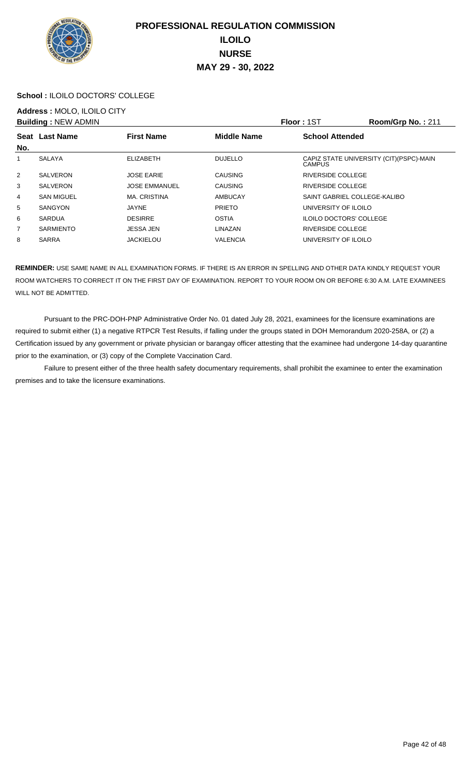

#### **School :** ILOILO DOCTORS' COLLEGE

## **Address :** MOLO, ILOILO CITY

|                | <b>Building: NEW ADMIN</b> |                      |                    | <b>Floor: 1ST</b>              | Room/Grp No.: 211                        |
|----------------|----------------------------|----------------------|--------------------|--------------------------------|------------------------------------------|
| No.            | Seat Last Name             | <b>First Name</b>    | <b>Middle Name</b> | <b>School Attended</b>         |                                          |
|                | SALAYA                     | <b>ELIZABETH</b>     | <b>DUJELLO</b>     | <b>CAMPUS</b>                  | CAPIZ STATE UNIVERSITY (CIT) (PSPC)-MAIN |
| $\overline{2}$ | <b>SALVERON</b>            | <b>JOSE EARIE</b>    | <b>CAUSING</b>     | <b>RIVERSIDE COLLEGE</b>       |                                          |
| 3              | <b>SALVERON</b>            | <b>JOSE EMMANUEL</b> | <b>CAUSING</b>     | RIVERSIDE COLLEGE              |                                          |
| 4              | <b>SAN MIGUEL</b>          | <b>MA. CRISTINA</b>  | AMBUCAY            | SAINT GABRIEL COLLEGE-KALIBO   |                                          |
| 5              | SANGYON                    | JAYNE                | <b>PRIETO</b>      | UNIVERSITY OF ILOILO           |                                          |
| 6              | <b>SARDUA</b>              | <b>DESIRRE</b>       | <b>OSTIA</b>       | <b>ILOILO DOCTORS' COLLEGE</b> |                                          |
| $\overline{7}$ | <b>SARMIENTO</b>           | JESSA JEN            | LINAZAN            | <b>RIVERSIDE COLLEGE</b>       |                                          |
| 8              | <b>SARRA</b>               | <b>JACKIELOU</b>     | <b>VALENCIA</b>    | UNIVERSITY OF ILOILO           |                                          |

**REMINDER:** USE SAME NAME IN ALL EXAMINATION FORMS. IF THERE IS AN ERROR IN SPELLING AND OTHER DATA KINDLY REQUEST YOUR ROOM WATCHERS TO CORRECT IT ON THE FIRST DAY OF EXAMINATION. REPORT TO YOUR ROOM ON OR BEFORE 6:30 A.M. LATE EXAMINEES WILL NOT BE ADMITTED.

 Pursuant to the PRC-DOH-PNP Administrative Order No. 01 dated July 28, 2021, examinees for the licensure examinations are required to submit either (1) a negative RTPCR Test Results, if falling under the groups stated in DOH Memorandum 2020-258A, or (2) a Certification issued by any government or private physician or barangay officer attesting that the examinee had undergone 14-day quarantine prior to the examination, or (3) copy of the Complete Vaccination Card.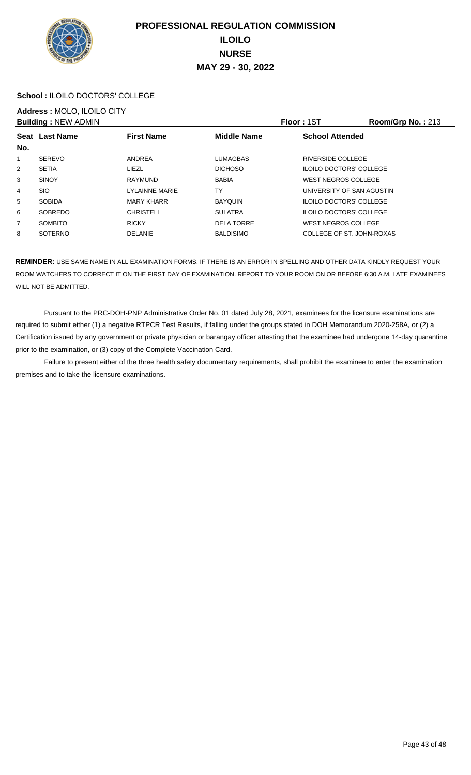

#### **School :** ILOILO DOCTORS' COLLEGE

## **Address :** MOLO, ILOILO CITY

|                | <b>Building: NEW ADMIN</b> |                   |                    | <b>Floor: 1ST</b>              | Room/Grp No.: 213 |
|----------------|----------------------------|-------------------|--------------------|--------------------------------|-------------------|
|                | Seat Last Name             | <b>First Name</b> | <b>Middle Name</b> | <b>School Attended</b>         |                   |
| No.            |                            |                   |                    |                                |                   |
|                | <b>SEREVO</b>              | ANDREA            | <b>LUMAGBAS</b>    | RIVERSIDE COLLEGE              |                   |
| $\overline{2}$ | <b>SETIA</b>               | LIEZL             | <b>DICHOSO</b>     | <b>ILOILO DOCTORS' COLLEGE</b> |                   |
| 3              | <b>SINOY</b>               | RAYMUND           | <b>BABIA</b>       | WEST NEGROS COLLEGE            |                   |
| 4              | <b>SIO</b>                 | LYLAINNE MARIE    | TY                 | UNIVERSITY OF SAN AGUSTIN      |                   |
| 5              | <b>SOBIDA</b>              | <b>MARY KHARR</b> | <b>BAYQUIN</b>     | <b>ILOILO DOCTORS' COLLEGE</b> |                   |
| 6              | SOBREDO                    | <b>CHRISTELL</b>  | <b>SULATRA</b>     | <b>ILOILO DOCTORS' COLLEGE</b> |                   |
| $\overline{7}$ | <b>SOMBITO</b>             | <b>RICKY</b>      | <b>DELA TORRE</b>  | WEST NEGROS COLLEGE            |                   |
| 8              | <b>SOTERNO</b>             | <b>DELANIE</b>    | <b>BALDISIMO</b>   | COLLEGE OF ST. JOHN-ROXAS      |                   |

**REMINDER:** USE SAME NAME IN ALL EXAMINATION FORMS. IF THERE IS AN ERROR IN SPELLING AND OTHER DATA KINDLY REQUEST YOUR ROOM WATCHERS TO CORRECT IT ON THE FIRST DAY OF EXAMINATION. REPORT TO YOUR ROOM ON OR BEFORE 6:30 A.M. LATE EXAMINEES WILL NOT BE ADMITTED.

 Pursuant to the PRC-DOH-PNP Administrative Order No. 01 dated July 28, 2021, examinees for the licensure examinations are required to submit either (1) a negative RTPCR Test Results, if falling under the groups stated in DOH Memorandum 2020-258A, or (2) a Certification issued by any government or private physician or barangay officer attesting that the examinee had undergone 14-day quarantine prior to the examination, or (3) copy of the Complete Vaccination Card.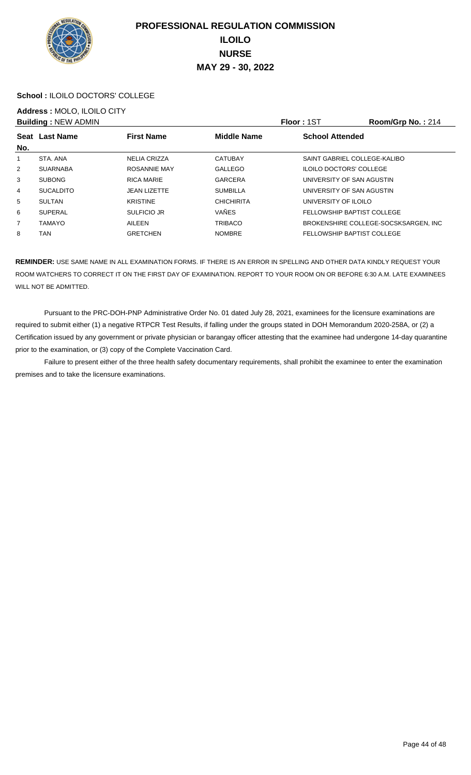

#### **School :** ILOILO DOCTORS' COLLEGE

# **Address :** MOLO, ILOILO CITY

|                | <b>Building: NEW ADMIN</b> |                     |                    | <b>Floor: 1ST</b>                 | Room/Grp No.: 214                     |
|----------------|----------------------------|---------------------|--------------------|-----------------------------------|---------------------------------------|
|                | Seat Last Name             | <b>First Name</b>   | <b>Middle Name</b> | <b>School Attended</b>            |                                       |
| No.            |                            |                     |                    |                                   |                                       |
| 1              | STA, ANA                   | <b>NELIA CRIZZA</b> | <b>CATUBAY</b>     | SAINT GABRIEL COLLEGE-KALIBO      |                                       |
| $\overline{2}$ | <b>SUARNABA</b>            | ROSANNIE MAY        | <b>GALLEGO</b>     | <b>ILOILO DOCTORS' COLLEGE</b>    |                                       |
| 3              | <b>SUBONG</b>              | <b>RICA MARIE</b>   | <b>GARCERA</b>     | UNIVERSITY OF SAN AGUSTIN         |                                       |
| 4              | <b>SUCALDITO</b>           | <b>JEAN LIZETTE</b> | <b>SUMBILLA</b>    | UNIVERSITY OF SAN AGUSTIN         |                                       |
| 5              | <b>SULTAN</b>              | <b>KRISTINE</b>     | <b>CHICHIRITA</b>  | UNIVERSITY OF ILOILO              |                                       |
| 6              | <b>SUPERAL</b>             | <b>SULFICIO JR</b>  | VAÑES              | <b>FELLOWSHIP BAPTIST COLLEGE</b> |                                       |
| $\overline{7}$ | <b>TAMAYO</b>              | AILEEN              | TRIBACO            |                                   | BROKENSHIRE COLLEGE-SOCSKSARGEN, INC. |
| 8              | TAN                        | <b>GRETCHEN</b>     | <b>NOMBRE</b>      | FELLOWSHIP BAPTIST COLLEGE        |                                       |

**REMINDER:** USE SAME NAME IN ALL EXAMINATION FORMS. IF THERE IS AN ERROR IN SPELLING AND OTHER DATA KINDLY REQUEST YOUR ROOM WATCHERS TO CORRECT IT ON THE FIRST DAY OF EXAMINATION. REPORT TO YOUR ROOM ON OR BEFORE 6:30 A.M. LATE EXAMINEES WILL NOT BE ADMITTED.

 Pursuant to the PRC-DOH-PNP Administrative Order No. 01 dated July 28, 2021, examinees for the licensure examinations are required to submit either (1) a negative RTPCR Test Results, if falling under the groups stated in DOH Memorandum 2020-258A, or (2) a Certification issued by any government or private physician or barangay officer attesting that the examinee had undergone 14-day quarantine prior to the examination, or (3) copy of the Complete Vaccination Card.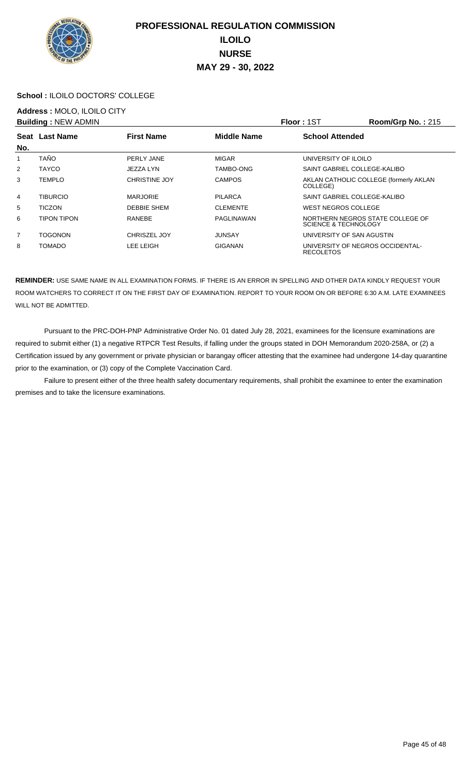

#### **School :** ILOILO DOCTORS' COLLEGE

## **Address :** MOLO, ILOILO CITY

|                | <b>Building: NEW ADMIN</b> |                      |                    | <b>Floor: 1ST</b>                                                   | Room/Grp No.: 215                      |
|----------------|----------------------------|----------------------|--------------------|---------------------------------------------------------------------|----------------------------------------|
|                | Seat Last Name             | <b>First Name</b>    | <b>Middle Name</b> | <b>School Attended</b>                                              |                                        |
| No.            |                            |                      |                    |                                                                     |                                        |
|                | <b>TAÑO</b>                | PERLY JANE           | <b>MIGAR</b>       | UNIVERSITY OF ILOILO                                                |                                        |
| $\overline{2}$ | <b>TAYCO</b>               | JEZZA LYN            | TAMBO-ONG          | SAINT GABRIEL COLLEGE-KALIBO                                        |                                        |
| 3              | <b>TEMPLO</b>              | <b>CHRISTINE JOY</b> | <b>CAMPOS</b>      | COLLEGE)                                                            | AKLAN CATHOLIC COLLEGE (formerly AKLAN |
| 4              | <b>TIBURCIO</b>            | <b>MARJORIE</b>      | <b>PILARCA</b>     | SAINT GABRIEL COLLEGE-KALIBO                                        |                                        |
| 5              | <b>TICZON</b>              | DEBBIE SHEM          | <b>CLEMENTE</b>    | WEST NEGROS COLLEGE                                                 |                                        |
| 6              | <b>TIPON TIPON</b>         | <b>RANEBE</b>        | PAGLINAWAN         | NORTHERN NEGROS STATE COLLEGE OF<br><b>SCIENCE &amp; TECHNOLOGY</b> |                                        |
| $\overline{7}$ | <b>TOGONON</b>             | CHRISZEL JOY         | JUNSAY             | UNIVERSITY OF SAN AGUSTIN                                           |                                        |
| 8              | <b>TOMADO</b>              | LEE LEIGH            | <b>GIGANAN</b>     | UNIVERSITY OF NEGROS OCCIDENTAL-<br><b>RECOLETOS</b>                |                                        |

**REMINDER:** USE SAME NAME IN ALL EXAMINATION FORMS. IF THERE IS AN ERROR IN SPELLING AND OTHER DATA KINDLY REQUEST YOUR ROOM WATCHERS TO CORRECT IT ON THE FIRST DAY OF EXAMINATION. REPORT TO YOUR ROOM ON OR BEFORE 6:30 A.M. LATE EXAMINEES WILL NOT BE ADMITTED.

 Pursuant to the PRC-DOH-PNP Administrative Order No. 01 dated July 28, 2021, examinees for the licensure examinations are required to submit either (1) a negative RTPCR Test Results, if falling under the groups stated in DOH Memorandum 2020-258A, or (2) a Certification issued by any government or private physician or barangay officer attesting that the examinee had undergone 14-day quarantine prior to the examination, or (3) copy of the Complete Vaccination Card.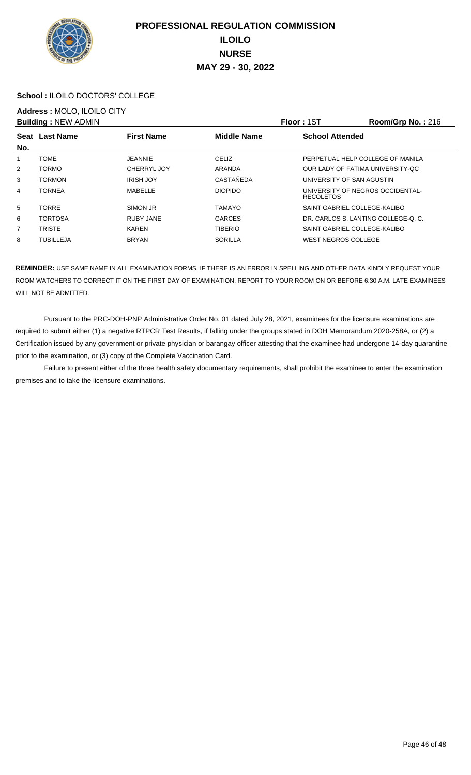

#### **School :** ILOILO DOCTORS' COLLEGE

## **Address :** MOLO, ILOILO CITY

|                | <b>Building: NEW ADMIN</b> |                   |                    | <b>Floor: 1ST</b>                                    | Room/Grp No.: 216 |
|----------------|----------------------------|-------------------|--------------------|------------------------------------------------------|-------------------|
| No.            | Seat Last Name             | <b>First Name</b> | <b>Middle Name</b> | <b>School Attended</b>                               |                   |
|                | <b>TOME</b>                | <b>JEANNIE</b>    | <b>CELIZ</b>       | PERPETUAL HELP COLLEGE OF MANILA                     |                   |
| $\overline{2}$ | <b>TORMO</b>               | CHERRYL JOY       | ARANDA             | OUR LADY OF FATIMA UNIVERSITY-OC                     |                   |
| 3              | <b>TORMON</b>              | <b>IRISH JOY</b>  | CASTAÑEDA          | UNIVERSITY OF SAN AGUSTIN                            |                   |
| 4              | <b>TORNEA</b>              | MABELLE           | <b>DIOPIDO</b>     | UNIVERSITY OF NEGROS OCCIDENTAL-<br><b>RECOLETOS</b> |                   |
| 5              | <b>TORRE</b>               | SIMON JR          | <b>TAMAYO</b>      | SAINT GABRIEL COLLEGE-KALIBO                         |                   |
| 6              | <b>TORTOSA</b>             | <b>RUBY JANE</b>  | <b>GARCES</b>      | DR. CARLOS S. LANTING COLLEGE-O. C.                  |                   |
| $\overline{7}$ | <b>TRISTE</b>              | <b>KAREN</b>      | <b>TIBERIO</b>     | SAINT GABRIEL COLLEGE-KALIBO                         |                   |
| 8              | <b>TUBILLEJA</b>           | <b>BRYAN</b>      | <b>SORILLA</b>     | WEST NEGROS COLLEGE                                  |                   |

**REMINDER:** USE SAME NAME IN ALL EXAMINATION FORMS. IF THERE IS AN ERROR IN SPELLING AND OTHER DATA KINDLY REQUEST YOUR ROOM WATCHERS TO CORRECT IT ON THE FIRST DAY OF EXAMINATION. REPORT TO YOUR ROOM ON OR BEFORE 6:30 A.M. LATE EXAMINEES WILL NOT BE ADMITTED.

 Pursuant to the PRC-DOH-PNP Administrative Order No. 01 dated July 28, 2021, examinees for the licensure examinations are required to submit either (1) a negative RTPCR Test Results, if falling under the groups stated in DOH Memorandum 2020-258A, or (2) a Certification issued by any government or private physician or barangay officer attesting that the examinee had undergone 14-day quarantine prior to the examination, or (3) copy of the Complete Vaccination Card.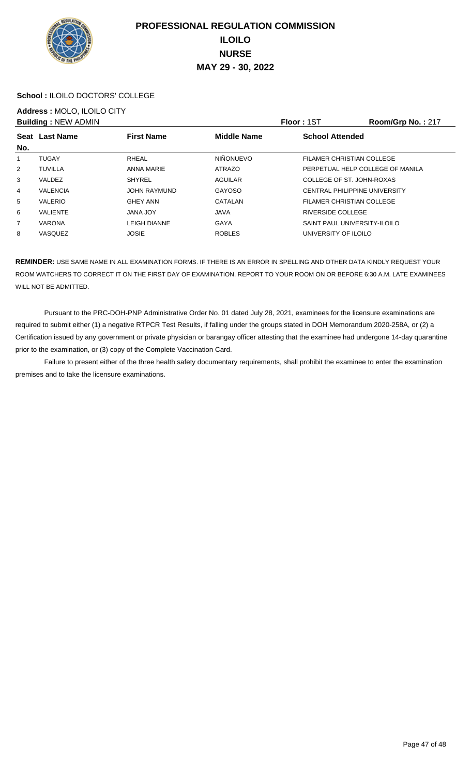

#### **School :** ILOILO DOCTORS' COLLEGE

## **Address :** MOLO, ILOILO CITY

|     | <b>Building: NEW ADMIN</b> |                     |                    | <b>Floor: 1ST</b>                | Room/Grp No.: 217 |
|-----|----------------------------|---------------------|--------------------|----------------------------------|-------------------|
| No. | Seat Last Name             | <b>First Name</b>   | <b>Middle Name</b> | <b>School Attended</b>           |                   |
|     | <b>TUGAY</b>               | RHEAL               | <b>NIÑONUEVO</b>   | FILAMER CHRISTIAN COLLEGE        |                   |
| 2   | <b>TUVILLA</b>             | ANNA MARIE          | <b>ATRAZO</b>      | PERPETUAL HELP COLLEGE OF MANILA |                   |
| 3   | VALDEZ                     | <b>SHYREL</b>       | <b>AGUILAR</b>     | COLLEGE OF ST. JOHN-ROXAS        |                   |
| 4   | <b>VALENCIA</b>            | <b>JOHN RAYMUND</b> | <b>GAYOSO</b>      | CENTRAL PHILIPPINE UNIVERSITY    |                   |
| 5   | <b>VALERIO</b>             | <b>GHEY ANN</b>     | CATALAN            | FILAMER CHRISTIAN COLLEGE        |                   |
| 6   | <b>VALIENTE</b>            | <b>JANA JOY</b>     | <b>JAVA</b>        | RIVERSIDE COLLEGE                |                   |
| 7   | <b>VARONA</b>              | <b>LEIGH DIANNE</b> | <b>GAYA</b>        | SAINT PAUL UNIVERSITY-ILOILO     |                   |
| 8   | <b>VASQUEZ</b>             | <b>JOSIE</b>        | <b>ROBLES</b>      | UNIVERSITY OF ILOILO             |                   |

**REMINDER:** USE SAME NAME IN ALL EXAMINATION FORMS. IF THERE IS AN ERROR IN SPELLING AND OTHER DATA KINDLY REQUEST YOUR ROOM WATCHERS TO CORRECT IT ON THE FIRST DAY OF EXAMINATION. REPORT TO YOUR ROOM ON OR BEFORE 6:30 A.M. LATE EXAMINEES WILL NOT BE ADMITTED.

 Pursuant to the PRC-DOH-PNP Administrative Order No. 01 dated July 28, 2021, examinees for the licensure examinations are required to submit either (1) a negative RTPCR Test Results, if falling under the groups stated in DOH Memorandum 2020-258A, or (2) a Certification issued by any government or private physician or barangay officer attesting that the examinee had undergone 14-day quarantine prior to the examination, or (3) copy of the Complete Vaccination Card.